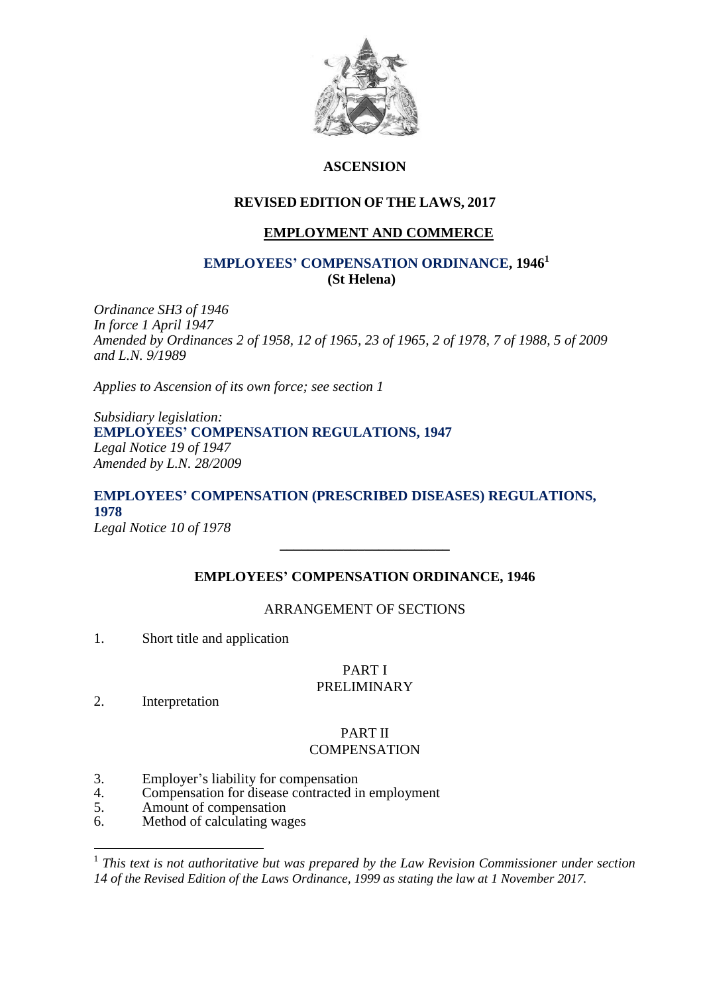

# **ASCENSION**

# **REVISED EDITION OF THE LAWS, 2017**

# **EMPLOYMENT AND COMMERCE**

# **EMPLOYEES' COMPENSATION ORDINANCE, 1946<sup>1</sup> (St Helena)**

*Ordinance SH3 of 1946 In force 1 April 1947 Amended by Ordinances 2 of 1958, 12 of 1965, 23 of 1965, 2 of 1978, 7 of 1988, 5 of 2009 and L.N. 9/1989*

*Applies to Ascension of its own force; see section 1*

*Subsidiary legislation:* **EMPLOYEES' COMPENSATION REGULATIONS, 1947** *Legal Notice 19 of 1947 Amended by L.N. 28/2009*

# **EMPLOYEES' COMPENSATION (PRESCRIBED DISEASES) REGULATIONS, 1978** *Legal Notice 10 of 1978*

# **EMPLOYEES' COMPENSATION ORDINANCE, 1946**

**\_\_\_\_\_\_\_\_\_\_\_\_\_\_\_\_\_\_\_\_\_\_\_\_**

# ARRANGEMENT OF SECTIONS

1. Short title and application

#### PART I PRELIMINARY

2. Interpretation

1

# PART II **COMPENSATION**

- 3. Employer's liability for compensation<br>4. Compensation for disease contracted in
- 4. Compensation for disease contracted in employment<br>5. Amount of compensation
- Amount of compensation
- 6. Method of calculating wages

<sup>&</sup>lt;sup>1</sup> This text is not authoritative but was prepared by the Law Revision Commissioner under section *14 of the Revised Edition of the Laws Ordinance, 1999 as stating the law at 1 November 2017.*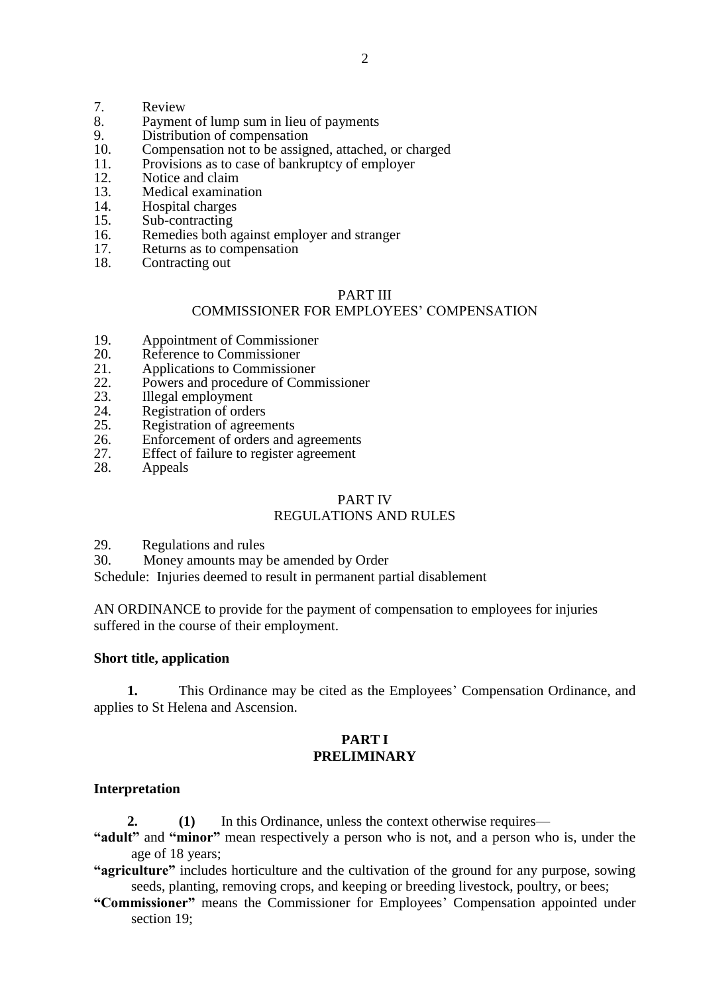- 7. Review
- 8. Payment of lump sum in lieu of payments<br>9. Distribution of compensation
- 9. Distribution of compensation<br>10. Compensation not to be assigned
- 10. Compensation not to be assigned, attached, or charged<br>11 Provisions as to case of bankruptcy of employer
- 11. Provisions as to case of bankruptcy of employer 12 Notice and claim
- 12. Notice and claim<br>13. Medical examination
- 13. Medical examination<br>14 Hospital charges
- 14. Hospital charges<br>15. Sub-contracting
- Sub-contracting
- 16. Remedies both against employer and stranger
- 17. Returns as to compensation
- 18. Contracting out

# PART III

### COMMISSIONER FOR EMPLOYEES' COMPENSATION

- 19. Appointment of Commissioner
- 20. Reference to Commissioner
- 21. Applications to Commissioner<br>22. Powers and procedure of Comm
- 22. Powers and procedure of Commissioner<br>23. Illegal employment
- 23. Illegal employment
- 24. Registration of orders
- 25. Registration of agreements
- 26. Enforcement of orders and agreements
- 27. Effect of failure to register agreement
- 28. Appeals

# PART IV

# REGULATIONS AND RULES

- 29. Regulations and rules
- 30. Money amounts may be amended by Order

Schedule: Injuries deemed to result in permanent partial disablement

AN ORDINANCE to provide for the payment of compensation to employees for injuries suffered in the course of their employment.

### **Short title, application**

**1.** This Ordinance may be cited as the Employees' Compensation Ordinance, and applies to St Helena and Ascension.

# **PART I PRELIMINARY**

# **Interpretation**

**2. (1)** In this Ordinance, unless the context otherwise requires—

**"adult"** and **"minor"** mean respectively a person who is not, and a person who is, under the age of 18 years;

**"agriculture"** includes horticulture and the cultivation of the ground for any purpose, sowing seeds, planting, removing crops, and keeping or breeding livestock, poultry, or bees;

**"Commissioner"** means the Commissioner for Employees' Compensation appointed under section 19;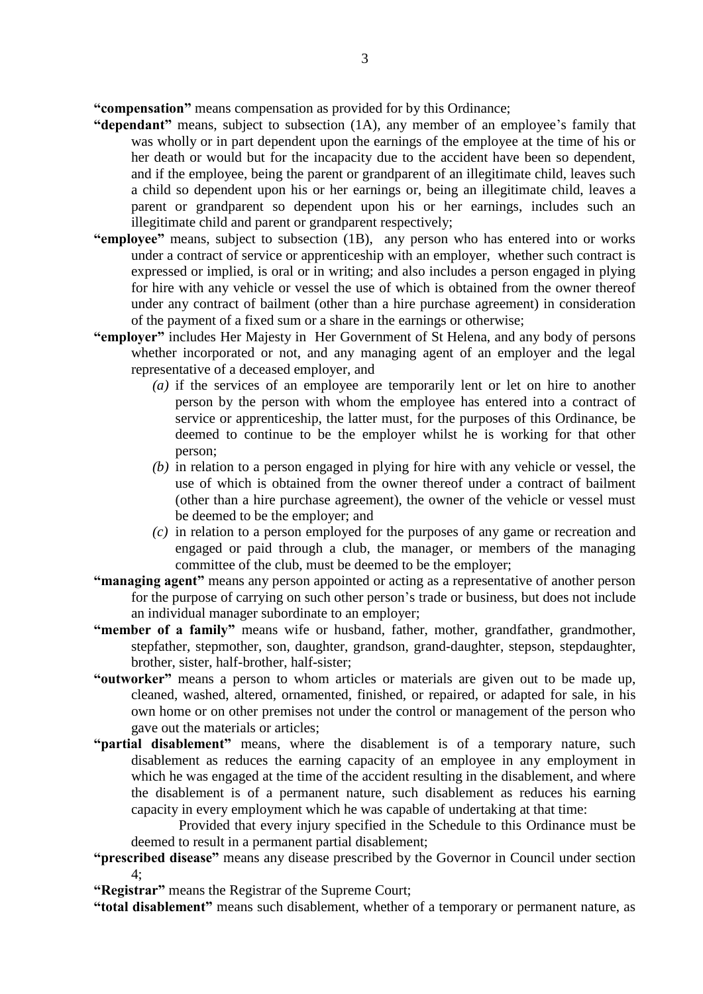**"compensation"** means compensation as provided for by this Ordinance;

- **"dependant"** means, subject to subsection (1A), any member of an employee's family that was wholly or in part dependent upon the earnings of the employee at the time of his or her death or would but for the incapacity due to the accident have been so dependent, and if the employee, being the parent or grandparent of an illegitimate child, leaves such a child so dependent upon his or her earnings or, being an illegitimate child, leaves a parent or grandparent so dependent upon his or her earnings, includes such an illegitimate child and parent or grandparent respectively;
- **"employee"** means, subject to subsection (1B), any person who has entered into or works under a contract of service or apprenticeship with an employer, whether such contract is expressed or implied, is oral or in writing; and also includes a person engaged in plying for hire with any vehicle or vessel the use of which is obtained from the owner thereof under any contract of bailment (other than a hire purchase agreement) in consideration of the payment of a fixed sum or a share in the earnings or otherwise;
- **"employer"** includes Her Majesty in Her Government of St Helena, and any body of persons whether incorporated or not, and any managing agent of an employer and the legal representative of a deceased employer, and
	- *(a)* if the services of an employee are temporarily lent or let on hire to another person by the person with whom the employee has entered into a contract of service or apprenticeship, the latter must, for the purposes of this Ordinance, be deemed to continue to be the employer whilst he is working for that other person;
	- *(b)* in relation to a person engaged in plying for hire with any vehicle or vessel, the use of which is obtained from the owner thereof under a contract of bailment (other than a hire purchase agreement), the owner of the vehicle or vessel must be deemed to be the employer; and
	- *(c)* in relation to a person employed for the purposes of any game or recreation and engaged or paid through a club, the manager, or members of the managing committee of the club, must be deemed to be the employer;
- **"managing agent"** means any person appointed or acting as a representative of another person for the purpose of carrying on such other person's trade or business, but does not include an individual manager subordinate to an employer;
- **"member of a family"** means wife or husband, father, mother, grandfather, grandmother, stepfather, stepmother, son, daughter, grandson, grand-daughter, stepson, stepdaughter, brother, sister, half-brother, half-sister;
- **"outworker"** means a person to whom articles or materials are given out to be made up, cleaned, washed, altered, ornamented, finished, or repaired, or adapted for sale, in his own home or on other premises not under the control or management of the person who gave out the materials or articles;
- **"partial disablement"** means, where the disablement is of a temporary nature, such disablement as reduces the earning capacity of an employee in any employment in which he was engaged at the time of the accident resulting in the disablement, and where the disablement is of a permanent nature, such disablement as reduces his earning capacity in every employment which he was capable of undertaking at that time:

Provided that every injury specified in the Schedule to this Ordinance must be deemed to result in a permanent partial disablement;

**"prescribed disease"** means any disease prescribed by the Governor in Council under section  $4:$ 

**"Registrar"** means the Registrar of the Supreme Court;

**"total disablement"** means such disablement, whether of a temporary or permanent nature, as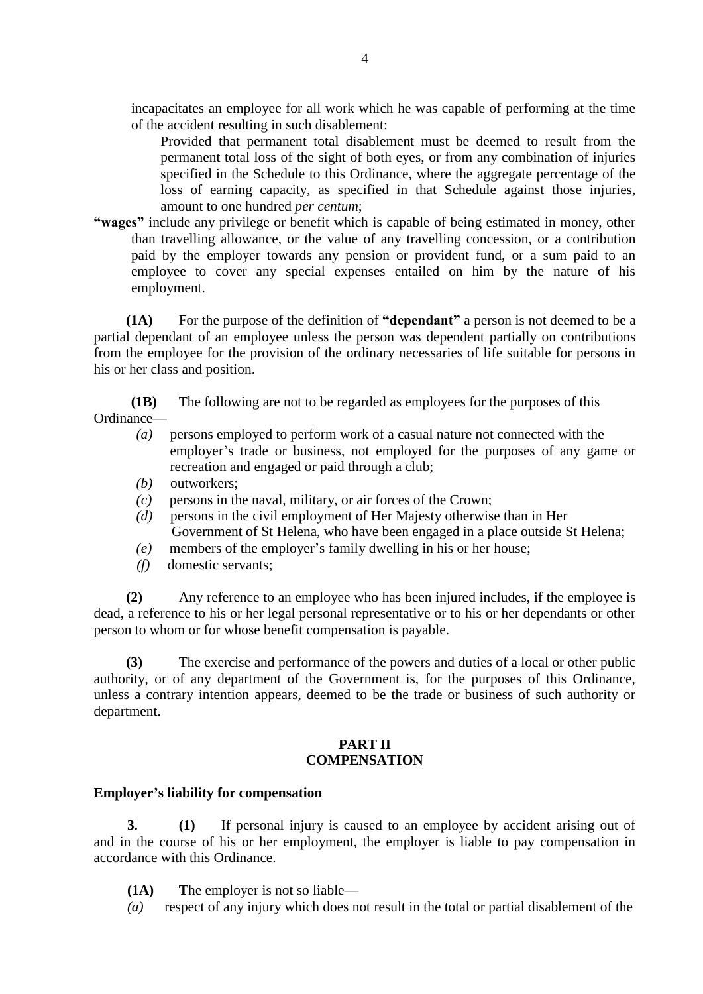incapacitates an employee for all work which he was capable of performing at the time of the accident resulting in such disablement:

Provided that permanent total disablement must be deemed to result from the permanent total loss of the sight of both eyes, or from any combination of injuries specified in the Schedule to this Ordinance, where the aggregate percentage of the loss of earning capacity, as specified in that Schedule against those injuries, amount to one hundred *per centum*;

**"wages"** include any privilege or benefit which is capable of being estimated in money, other than travelling allowance, or the value of any travelling concession, or a contribution paid by the employer towards any pension or provident fund, or a sum paid to an employee to cover any special expenses entailed on him by the nature of his employment.

**(1A)** For the purpose of the definition of **"dependant"** a person is not deemed to be a partial dependant of an employee unless the person was dependent partially on contributions from the employee for the provision of the ordinary necessaries of life suitable for persons in his or her class and position.

**(1B)** The following are not to be regarded as employees for the purposes of this Ordinance—

- *(a)* persons employed to perform work of a casual nature not connected with the employer's trade or business, not employed for the purposes of any game or recreation and engaged or paid through a club;
- *(b)* outworkers;
- *(c)* persons in the naval, military, or air forces of the Crown;
- *(d)* persons in the civil employment of Her Majesty otherwise than in Her Government of St Helena, who have been engaged in a place outside St Helena;
- *(e)* members of the employer's family dwelling in his or her house;
- *(f)* domestic servants;

**(2)** Any reference to an employee who has been injured includes, if the employee is dead, a reference to his or her legal personal representative or to his or her dependants or other person to whom or for whose benefit compensation is payable.

**(3)** The exercise and performance of the powers and duties of a local or other public authority, or of any department of the Government is, for the purposes of this Ordinance, unless a contrary intention appears, deemed to be the trade or business of such authority or department.

# **PART II COMPENSATION**

# **Employer's liability for compensation**

**3. (1)** If personal injury is caused to an employee by accident arising out of and in the course of his or her employment, the employer is liable to pay compensation in accordance with this Ordinance.

- **(1A) T**he employer is not so liable—
- *(a)* respect of any injury which does not result in the total or partial disablement of the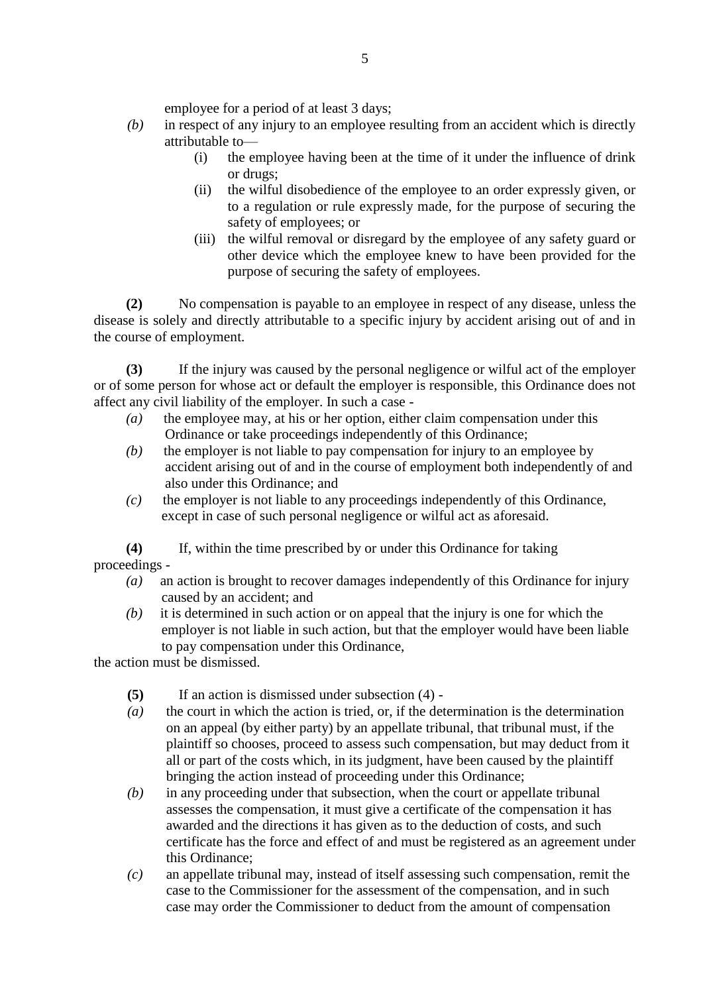employee for a period of at least 3 days;

- *(b)* in respect of any injury to an employee resulting from an accident which is directly attributable to—
	- (i) the employee having been at the time of it under the influence of drink or drugs;
	- (ii) the wilful disobedience of the employee to an order expressly given, or to a regulation or rule expressly made, for the purpose of securing the safety of employees; or
	- (iii) the wilful removal or disregard by the employee of any safety guard or other device which the employee knew to have been provided for the purpose of securing the safety of employees.

**(2)** No compensation is payable to an employee in respect of any disease, unless the disease is solely and directly attributable to a specific injury by accident arising out of and in the course of employment.

**(3)** If the injury was caused by the personal negligence or wilful act of the employer or of some person for whose act or default the employer is responsible, this Ordinance does not affect any civil liability of the employer. In such a case -

- *(a)* the employee may, at his or her option, either claim compensation under this Ordinance or take proceedings independently of this Ordinance;
- *(b)* the employer is not liable to pay compensation for injury to an employee by accident arising out of and in the course of employment both independently of and also under this Ordinance; and
- *(c)* the employer is not liable to any proceedings independently of this Ordinance, except in case of such personal negligence or wilful act as aforesaid.

**(4)** If, within the time prescribed by or under this Ordinance for taking proceedings -

- *(a)* an action is brought to recover damages independently of this Ordinance for injury caused by an accident; and
- *(b)* it is determined in such action or on appeal that the injury is one for which the employer is not liable in such action, but that the employer would have been liable to pay compensation under this Ordinance,

the action must be dismissed.

- **(5)** If an action is dismissed under subsection (4) -
- *(a)* the court in which the action is tried, or, if the determination is the determination on an appeal (by either party) by an appellate tribunal, that tribunal must, if the plaintiff so chooses, proceed to assess such compensation, but may deduct from it all or part of the costs which, in its judgment, have been caused by the plaintiff bringing the action instead of proceeding under this Ordinance;
- *(b)* in any proceeding under that subsection, when the court or appellate tribunal assesses the compensation, it must give a certificate of the compensation it has awarded and the directions it has given as to the deduction of costs, and such certificate has the force and effect of and must be registered as an agreement under this Ordinance;
- *(c)* an appellate tribunal may, instead of itself assessing such compensation, remit the case to the Commissioner for the assessment of the compensation, and in such case may order the Commissioner to deduct from the amount of compensation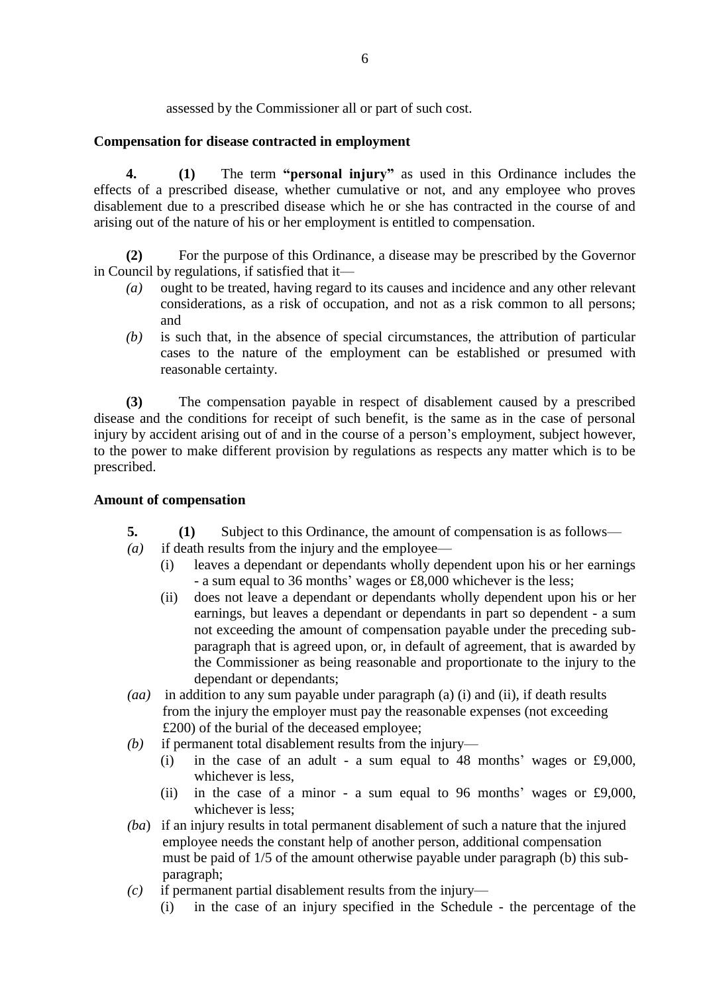assessed by the Commissioner all or part of such cost.

# **Compensation for disease contracted in employment**

**4. (1)** The term **"personal injury"** as used in this Ordinance includes the effects of a prescribed disease, whether cumulative or not, and any employee who proves disablement due to a prescribed disease which he or she has contracted in the course of and arising out of the nature of his or her employment is entitled to compensation.

**(2)** For the purpose of this Ordinance, a disease may be prescribed by the Governor in Council by regulations, if satisfied that it—

- *(a)* ought to be treated, having regard to its causes and incidence and any other relevant considerations, as a risk of occupation, and not as a risk common to all persons; and
- *(b)* is such that, in the absence of special circumstances, the attribution of particular cases to the nature of the employment can be established or presumed with reasonable certainty.

**(3)** The compensation payable in respect of disablement caused by a prescribed disease and the conditions for receipt of such benefit, is the same as in the case of personal injury by accident arising out of and in the course of a person's employment, subject however, to the power to make different provision by regulations as respects any matter which is to be prescribed.

# **Amount of compensation**

- **5. (1)** Subject to this Ordinance, the amount of compensation is as follows—
- *(a)* if death results from the injury and the employee—
	- (i) leaves a dependant or dependants wholly dependent upon his or her earnings - a sum equal to 36 months' wages or £8,000 whichever is the less;
	- (ii) does not leave a dependant or dependants wholly dependent upon his or her earnings, but leaves a dependant or dependants in part so dependent - a sum not exceeding the amount of compensation payable under the preceding subparagraph that is agreed upon, or, in default of agreement, that is awarded by the Commissioner as being reasonable and proportionate to the injury to the dependant or dependants;
- *(aa)* in addition to any sum payable under paragraph (a) (i) and (ii), if death results from the injury the employer must pay the reasonable expenses (not exceeding £200) of the burial of the deceased employee;
- *(b)* if permanent total disablement results from the injury—
	- (i) in the case of an adult a sum equal to 48 months' wages or £9,000, whichever is less,
	- (ii) in the case of a minor a sum equal to 96 months' wages or £9,000, whichever is less;
- *(ba*) if an injury results in total permanent disablement of such a nature that the injured employee needs the constant help of another person, additional compensation must be paid of 1/5 of the amount otherwise payable under paragraph (b) this sub paragraph;
- *(c)* if permanent partial disablement results from the injury—
	- (i) in the case of an injury specified in the Schedule the percentage of the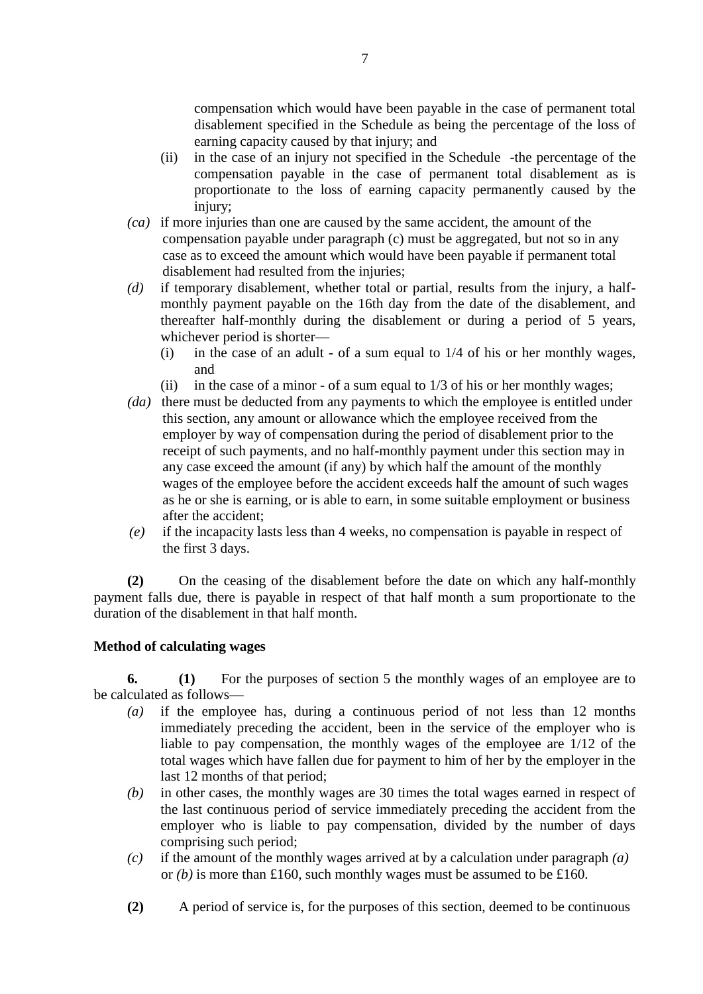compensation which would have been payable in the case of permanent total disablement specified in the Schedule as being the percentage of the loss of earning capacity caused by that injury; and

- (ii) in the case of an injury not specified in the Schedule -the percentage of the compensation payable in the case of permanent total disablement as is proportionate to the loss of earning capacity permanently caused by the iniury;
- *(ca)* if more injuries than one are caused by the same accident, the amount of the compensation payable under paragraph (c) must be aggregated, but not so in any case as to exceed the amount which would have been payable if permanent total disablement had resulted from the injuries;
- *(d)* if temporary disablement, whether total or partial, results from the injury, a halfmonthly payment payable on the 16th day from the date of the disablement, and thereafter half-monthly during the disablement or during a period of 5 years, whichever period is shorter—
	- (i) in the case of an adult of a sum equal to 1/4 of his or her monthly wages, and
	- (ii) in the case of a minor of a sum equal to 1/3 of his or her monthly wages;
- *(da)* there must be deducted from any payments to which the employee is entitled under this section, any amount or allowance which the employee received from the employer by way of compensation during the period of disablement prior to the receipt of such payments, and no half-monthly payment under this section may in any case exceed the amount (if any) by which half the amount of the monthly wages of the employee before the accident exceeds half the amount of such wages as he or she is earning, or is able to earn, in some suitable employment or business after the accident;
- *(e)* if the incapacity lasts less than 4 weeks, no compensation is payable in respect of the first 3 days.

**(2)** On the ceasing of the disablement before the date on which any half-monthly payment falls due, there is payable in respect of that half month a sum proportionate to the duration of the disablement in that half month.

# **Method of calculating wages**

**6. (1)** For the purposes of section 5 the monthly wages of an employee are to be calculated as follows—

- *(a)* if the employee has, during a continuous period of not less than 12 months immediately preceding the accident, been in the service of the employer who is liable to pay compensation, the monthly wages of the employee are 1/12 of the total wages which have fallen due for payment to him of her by the employer in the last 12 months of that period;
- *(b)* in other cases, the monthly wages are 30 times the total wages earned in respect of the last continuous period of service immediately preceding the accident from the employer who is liable to pay compensation, divided by the number of days comprising such period;
- *(c)* if the amount of the monthly wages arrived at by a calculation under paragraph *(a)* or  $(b)$  is more than £160, such monthly wages must be assumed to be £160.
- **(2)** A period of service is, for the purposes of this section, deemed to be continuous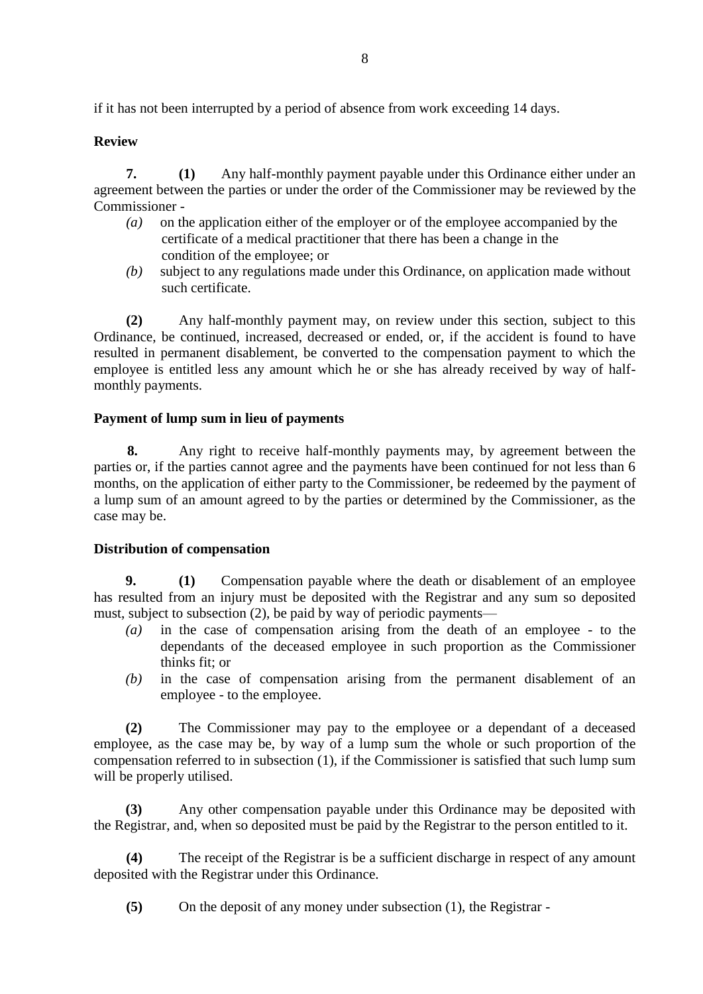if it has not been interrupted by a period of absence from work exceeding 14 days.

# **Review**

**7. (1)** Any half-monthly payment payable under this Ordinance either under an agreement between the parties or under the order of the Commissioner may be reviewed by the Commissioner -

- *(a)* on the application either of the employer or of the employee accompanied by the certificate of a medical practitioner that there has been a change in the condition of the employee; or
- *(b)* subject to any regulations made under this Ordinance, on application made without such certificate.

**(2)** Any half-monthly payment may, on review under this section, subject to this Ordinance, be continued, increased, decreased or ended, or, if the accident is found to have resulted in permanent disablement, be converted to the compensation payment to which the employee is entitled less any amount which he or she has already received by way of halfmonthly payments.

# **Payment of lump sum in lieu of payments**

**8.** Any right to receive half-monthly payments may, by agreement between the parties or, if the parties cannot agree and the payments have been continued for not less than 6 months, on the application of either party to the Commissioner, be redeemed by the payment of a lump sum of an amount agreed to by the parties or determined by the Commissioner, as the case may be.

# **Distribution of compensation**

**9. (1)** Compensation payable where the death or disablement of an employee has resulted from an injury must be deposited with the Registrar and any sum so deposited must, subject to subsection (2), be paid by way of periodic payments—

- *(a)* in the case of compensation arising from the death of an employee to the dependants of the deceased employee in such proportion as the Commissioner thinks fit; or
- *(b)* in the case of compensation arising from the permanent disablement of an employee - to the employee.

**(2)** The Commissioner may pay to the employee or a dependant of a deceased employee, as the case may be, by way of a lump sum the whole or such proportion of the compensation referred to in subsection (1), if the Commissioner is satisfied that such lump sum will be properly utilised.

**(3)** Any other compensation payable under this Ordinance may be deposited with the Registrar, and, when so deposited must be paid by the Registrar to the person entitled to it.

**(4)** The receipt of the Registrar is be a sufficient discharge in respect of any amount deposited with the Registrar under this Ordinance.

**(5)** On the deposit of any money under subsection (1), the Registrar -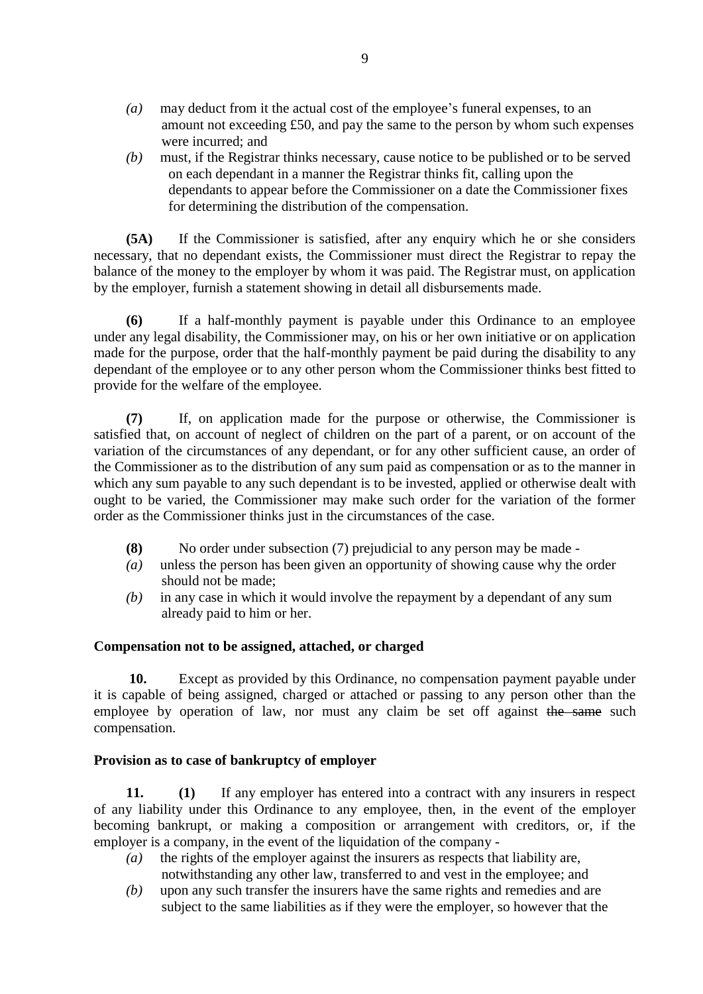- *(a)* may deduct from it the actual cost of the employee's funeral expenses, to an amount not exceeding £50, and pay the same to the person by whom such expenses were incurred; and
- *(b)* must, if the Registrar thinks necessary, cause notice to be published or to be served on each dependant in a manner the Registrar thinks fit, calling upon the dependants to appear before the Commissioner on a date the Commissioner fixes for determining the distribution of the compensation.

**(5A)** If the Commissioner is satisfied, after any enquiry which he or she considers necessary, that no dependant exists, the Commissioner must direct the Registrar to repay the balance of the money to the employer by whom it was paid. The Registrar must, on application by the employer, furnish a statement showing in detail all disbursements made.

**(6)** If a half-monthly payment is payable under this Ordinance to an employee under any legal disability, the Commissioner may, on his or her own initiative or on application made for the purpose, order that the half-monthly payment be paid during the disability to any dependant of the employee or to any other person whom the Commissioner thinks best fitted to provide for the welfare of the employee.

**(7)** If, on application made for the purpose or otherwise, the Commissioner is satisfied that, on account of neglect of children on the part of a parent, or on account of the variation of the circumstances of any dependant, or for any other sufficient cause, an order of the Commissioner as to the distribution of any sum paid as compensation or as to the manner in which any sum payable to any such dependant is to be invested, applied or otherwise dealt with ought to be varied, the Commissioner may make such order for the variation of the former order as the Commissioner thinks just in the circumstances of the case.

- **(8)** No order under subsection (7) prejudicial to any person may be made -
- *(a)* unless the person has been given an opportunity of showing cause why the order should not be made:
- *(b)* in any case in which it would involve the repayment by a dependant of any sum already paid to him or her.

# **Compensation not to be assigned, attached, or charged**

 **10.** Except as provided by this Ordinance, no compensation payment payable under it is capable of being assigned, charged or attached or passing to any person other than the employee by operation of law, nor must any claim be set off against the same such compensation.

# **Provision as to case of bankruptcy of employer**

**11. (1)** If any employer has entered into a contract with any insurers in respect of any liability under this Ordinance to any employee, then, in the event of the employer becoming bankrupt, or making a composition or arrangement with creditors, or, if the employer is a company, in the event of the liquidation of the company -

- *(a)* the rights of the employer against the insurers as respects that liability are, notwithstanding any other law, transferred to and vest in the employee; and
- *(b)* upon any such transfer the insurers have the same rights and remedies and are subject to the same liabilities as if they were the employer, so however that the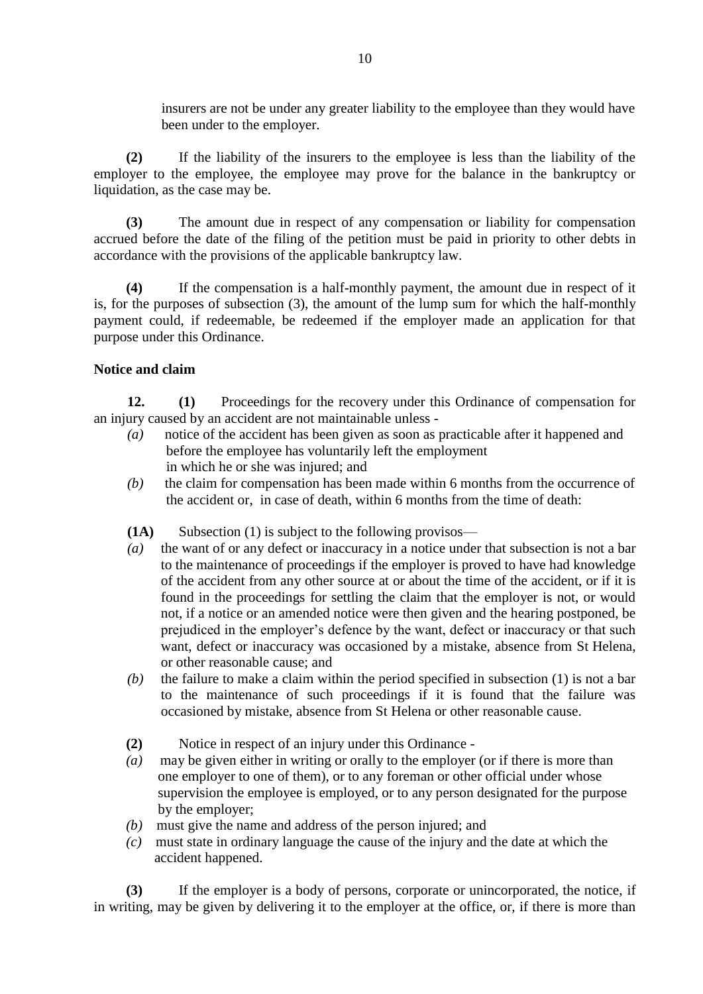insurers are not be under any greater liability to the employee than they would have been under to the employer.

**(2)** If the liability of the insurers to the employee is less than the liability of the employer to the employee, the employee may prove for the balance in the bankruptcy or liquidation, as the case may be.

**(3)** The amount due in respect of any compensation or liability for compensation accrued before the date of the filing of the petition must be paid in priority to other debts in accordance with the provisions of the applicable bankruptcy law.

**(4)** If the compensation is a half-monthly payment, the amount due in respect of it is, for the purposes of subsection (3), the amount of the lump sum for which the half-monthly payment could, if redeemable, be redeemed if the employer made an application for that purpose under this Ordinance.

# **Notice and claim**

**12. (1)** Proceedings for the recovery under this Ordinance of compensation for an injury caused by an accident are not maintainable unless -

- *(a)* notice of the accident has been given as soon as practicable after it happened and before the employee has voluntarily left the employment in which he or she was injured; and
- *(b)* the claim for compensation has been made within 6 months from the occurrence of the accident or, in case of death, within 6 months from the time of death:
- **(1A)** Subsection (1) is subject to the following provisos—
- *(a)* the want of or any defect or inaccuracy in a notice under that subsection is not a bar to the maintenance of proceedings if the employer is proved to have had knowledge of the accident from any other source at or about the time of the accident, or if it is found in the proceedings for settling the claim that the employer is not, or would not, if a notice or an amended notice were then given and the hearing postponed, be prejudiced in the employer's defence by the want, defect or inaccuracy or that such want, defect or inaccuracy was occasioned by a mistake, absence from St Helena, or other reasonable cause; and
- *(b)* the failure to make a claim within the period specified in subsection (1) is not a bar to the maintenance of such proceedings if it is found that the failure was occasioned by mistake, absence from St Helena or other reasonable cause.
- **(2)** Notice in respect of an injury under this Ordinance -
- *(a)* may be given either in writing or orally to the employer (or if there is more than one employer to one of them), or to any foreman or other official under whose supervision the employee is employed, or to any person designated for the purpose by the employer;
- *(b)* must give the name and address of the person injured; and
- *(c)* must state in ordinary language the cause of the injury and the date at which the accident happened.

**(3)** If the employer is a body of persons, corporate or unincorporated, the notice, if in writing, may be given by delivering it to the employer at the office, or, if there is more than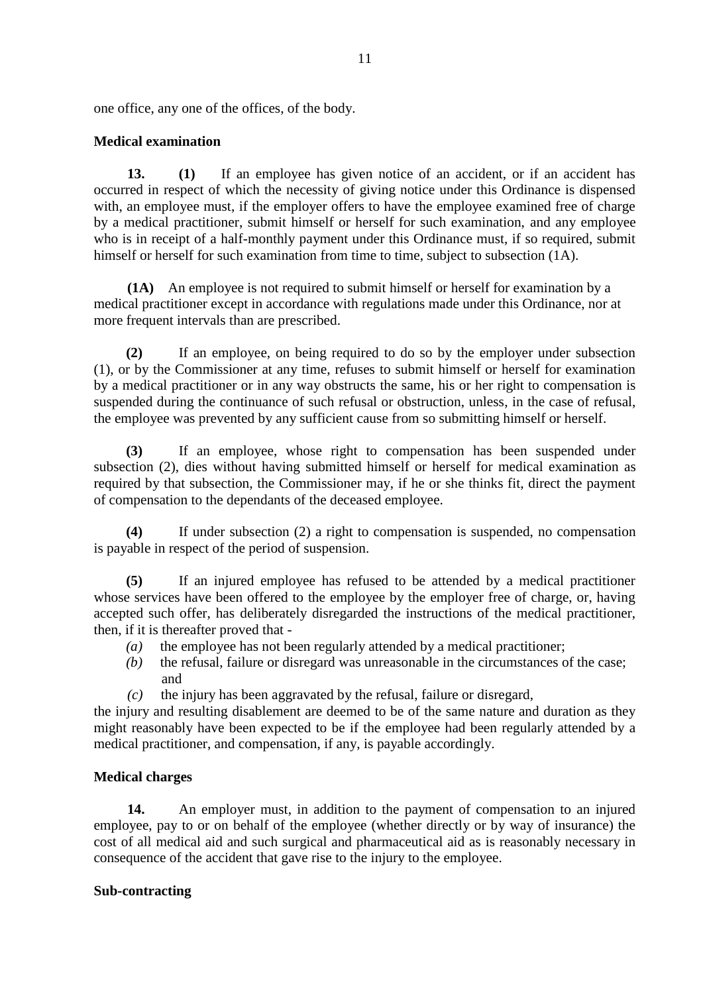one office, any one of the offices, of the body.

# **Medical examination**

**13. (1)** If an employee has given notice of an accident, or if an accident has occurred in respect of which the necessity of giving notice under this Ordinance is dispensed with, an employee must, if the employer offers to have the employee examined free of charge by a medical practitioner, submit himself or herself for such examination, and any employee who is in receipt of a half-monthly payment under this Ordinance must, if so required, submit himself or herself for such examination from time to time, subject to subsection (1A).

**(1A)** An employee is not required to submit himself or herself for examination by a medical practitioner except in accordance with regulations made under this Ordinance, nor at more frequent intervals than are prescribed.

**(2)** If an employee, on being required to do so by the employer under subsection (1), or by the Commissioner at any time, refuses to submit himself or herself for examination by a medical practitioner or in any way obstructs the same, his or her right to compensation is suspended during the continuance of such refusal or obstruction, unless, in the case of refusal, the employee was prevented by any sufficient cause from so submitting himself or herself.

**(3)** If an employee, whose right to compensation has been suspended under subsection (2), dies without having submitted himself or herself for medical examination as required by that subsection, the Commissioner may, if he or she thinks fit, direct the payment of compensation to the dependants of the deceased employee.

**(4)** If under subsection (2) a right to compensation is suspended, no compensation is payable in respect of the period of suspension.

**(5)** If an injured employee has refused to be attended by a medical practitioner whose services have been offered to the employee by the employer free of charge, or, having accepted such offer, has deliberately disregarded the instructions of the medical practitioner, then, if it is thereafter proved that -

- *(a)* the employee has not been regularly attended by a medical practitioner;
- *(b)* the refusal, failure or disregard was unreasonable in the circumstances of the case; and
- *(c)* the injury has been aggravated by the refusal, failure or disregard,

the injury and resulting disablement are deemed to be of the same nature and duration as they might reasonably have been expected to be if the employee had been regularly attended by a medical practitioner, and compensation, if any, is payable accordingly.

# **Medical charges**

**14.** An employer must, in addition to the payment of compensation to an injured employee, pay to or on behalf of the employee (whether directly or by way of insurance) the cost of all medical aid and such surgical and pharmaceutical aid as is reasonably necessary in consequence of the accident that gave rise to the injury to the employee.

# **Sub-contracting**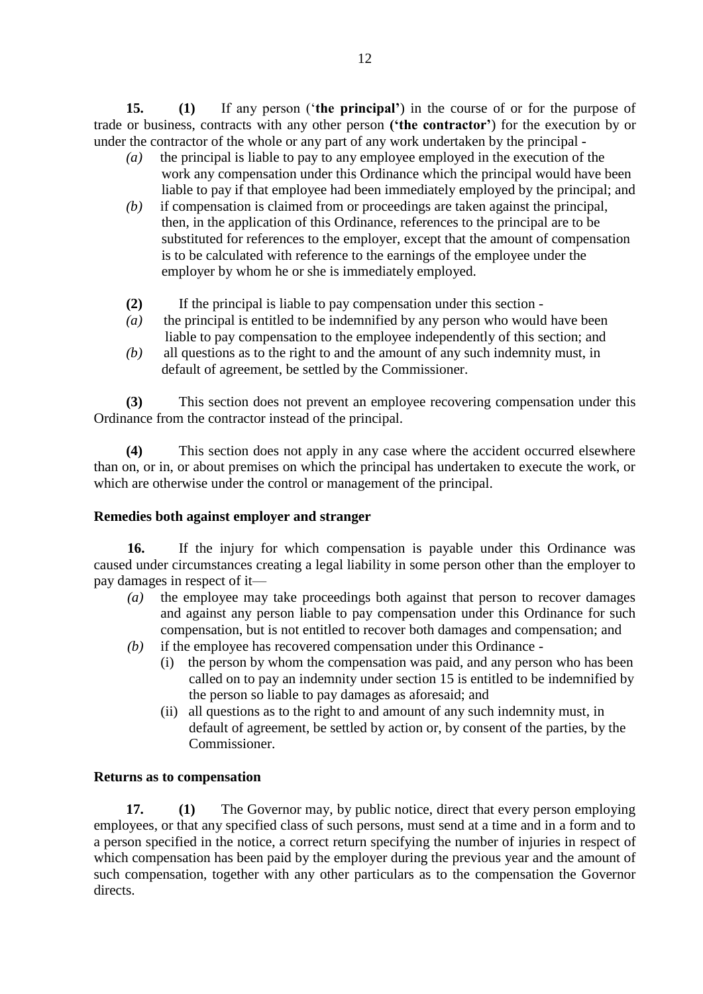**15. (1)** If any person ('**the principal'**) in the course of or for the purpose of trade or business, contracts with any other person **('the contractor'**) for the execution by or under the contractor of the whole or any part of any work undertaken by the principal -

- *(a)* the principal is liable to pay to any employee employed in the execution of the work any compensation under this Ordinance which the principal would have been liable to pay if that employee had been immediately employed by the principal; and
- *(b)* if compensation is claimed from or proceedings are taken against the principal, then, in the application of this Ordinance, references to the principal are to be substituted for references to the employer, except that the amount of compensation is to be calculated with reference to the earnings of the employee under the employer by whom he or she is immediately employed.
- **(2)** If the principal is liable to pay compensation under this section -
- *(a)* the principal is entitled to be indemnified by any person who would have been liable to pay compensation to the employee independently of this section; and
- *(b)* all questions as to the right to and the amount of any such indemnity must, in default of agreement, be settled by the Commissioner.

**(3)** This section does not prevent an employee recovering compensation under this Ordinance from the contractor instead of the principal.

**(4)** This section does not apply in any case where the accident occurred elsewhere than on, or in, or about premises on which the principal has undertaken to execute the work, or which are otherwise under the control or management of the principal.

# **Remedies both against employer and stranger**

**16.** If the injury for which compensation is payable under this Ordinance was caused under circumstances creating a legal liability in some person other than the employer to pay damages in respect of it—

- *(a)* the employee may take proceedings both against that person to recover damages and against any person liable to pay compensation under this Ordinance for such compensation, but is not entitled to recover both damages and compensation; and
- *(b)* if the employee has recovered compensation under this Ordinance
	- (i) the person by whom the compensation was paid, and any person who has been called on to pay an indemnity under section 15 is entitled to be indemnified by the person so liable to pay damages as aforesaid; and
	- (ii) all questions as to the right to and amount of any such indemnity must, in default of agreement, be settled by action or, by consent of the parties, by the Commissioner.

# **Returns as to compensation**

**17. (1)** The Governor may, by public notice, direct that every person employing employees, or that any specified class of such persons, must send at a time and in a form and to a person specified in the notice, a correct return specifying the number of injuries in respect of which compensation has been paid by the employer during the previous year and the amount of such compensation, together with any other particulars as to the compensation the Governor directs.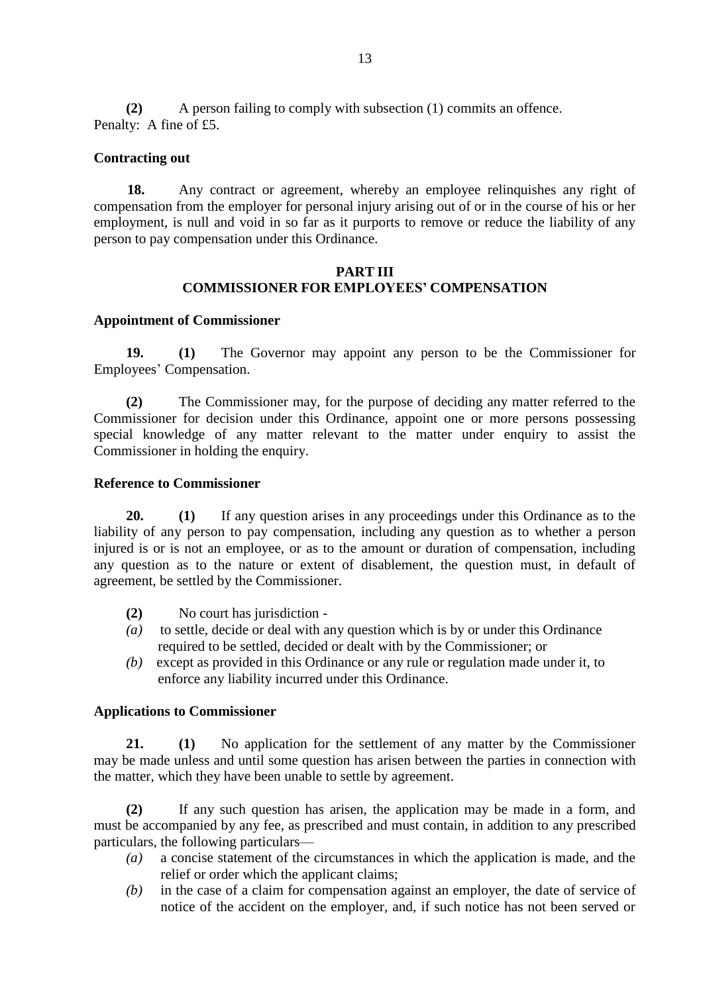**(2)** A person failing to comply with subsection (1) commits an offence. Penalty: A fine of £5.

### **Contracting out**

**18.** Any contract or agreement, whereby an employee relinquishes any right of compensation from the employer for personal injury arising out of or in the course of his or her employment, is null and void in so far as it purports to remove or reduce the liability of any person to pay compensation under this Ordinance.

# **PART III COMMISSIONER FOR EMPLOYEES' COMPENSATION**

### **Appointment of Commissioner**

**19. (1)** The Governor may appoint any person to be the Commissioner for Employees' Compensation.

**(2)** The Commissioner may, for the purpose of deciding any matter referred to the Commissioner for decision under this Ordinance, appoint one or more persons possessing special knowledge of any matter relevant to the matter under enquiry to assist the Commissioner in holding the enquiry.

### **Reference to Commissioner**

**20. (1)** If any question arises in any proceedings under this Ordinance as to the liability of any person to pay compensation, including any question as to whether a person injured is or is not an employee, or as to the amount or duration of compensation, including any question as to the nature or extent of disablement, the question must, in default of agreement, be settled by the Commissioner.

- **(2)** No court has jurisdiction -
- *(a)* to settle, decide or deal with any question which is by or under this Ordinance required to be settled, decided or dealt with by the Commissioner; or
- *(b)* except as provided in this Ordinance or any rule or regulation made under it, to enforce any liability incurred under this Ordinance.

#### **Applications to Commissioner**

**21. (1)** No application for the settlement of any matter by the Commissioner may be made unless and until some question has arisen between the parties in connection with the matter, which they have been unable to settle by agreement.

**(2)** If any such question has arisen, the application may be made in a form, and must be accompanied by any fee, as prescribed and must contain, in addition to any prescribed particulars, the following particulars—

- *(a)* a concise statement of the circumstances in which the application is made, and the relief or order which the applicant claims;
- *(b)* in the case of a claim for compensation against an employer, the date of service of notice of the accident on the employer, and, if such notice has not been served or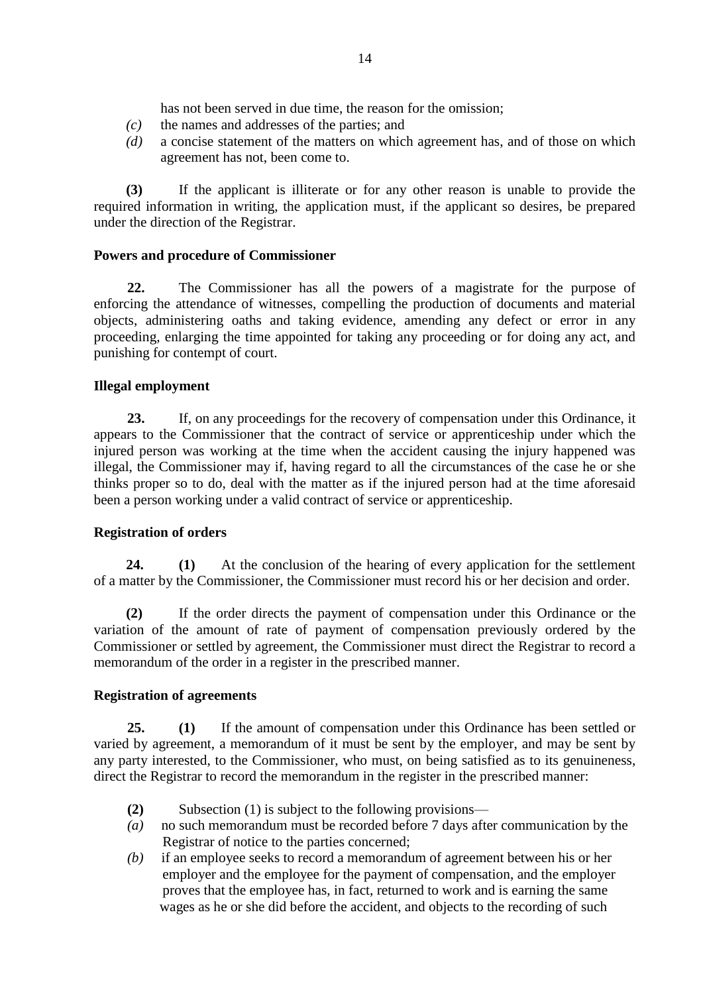has not been served in due time, the reason for the omission;

- *(c)* the names and addresses of the parties; and
- *(d)* a concise statement of the matters on which agreement has, and of those on which agreement has not, been come to.

**(3)** If the applicant is illiterate or for any other reason is unable to provide the required information in writing, the application must, if the applicant so desires, be prepared under the direction of the Registrar.

# **Powers and procedure of Commissioner**

**22.** The Commissioner has all the powers of a magistrate for the purpose of enforcing the attendance of witnesses, compelling the production of documents and material objects, administering oaths and taking evidence, amending any defect or error in any proceeding, enlarging the time appointed for taking any proceeding or for doing any act, and punishing for contempt of court.

# **Illegal employment**

**23.** If, on any proceedings for the recovery of compensation under this Ordinance, it appears to the Commissioner that the contract of service or apprenticeship under which the injured person was working at the time when the accident causing the injury happened was illegal, the Commissioner may if, having regard to all the circumstances of the case he or she thinks proper so to do, deal with the matter as if the injured person had at the time aforesaid been a person working under a valid contract of service or apprenticeship.

# **Registration of orders**

**24. (1)** At the conclusion of the hearing of every application for the settlement of a matter by the Commissioner, the Commissioner must record his or her decision and order.

**(2)** If the order directs the payment of compensation under this Ordinance or the variation of the amount of rate of payment of compensation previously ordered by the Commissioner or settled by agreement, the Commissioner must direct the Registrar to record a memorandum of the order in a register in the prescribed manner.

#### **Registration of agreements**

**25. (1)** If the amount of compensation under this Ordinance has been settled or varied by agreement, a memorandum of it must be sent by the employer, and may be sent by any party interested, to the Commissioner, who must, on being satisfied as to its genuineness, direct the Registrar to record the memorandum in the register in the prescribed manner:

- **(2)** Subsection (1) is subject to the following provisions—
- *(a)* no such memorandum must be recorded before 7 days after communication by the Registrar of notice to the parties concerned;
- *(b)* if an employee seeks to record a memorandum of agreement between his or her employer and the employee for the payment of compensation, and the employer proves that the employee has, in fact, returned to work and is earning the same wages as he or she did before the accident, and objects to the recording of such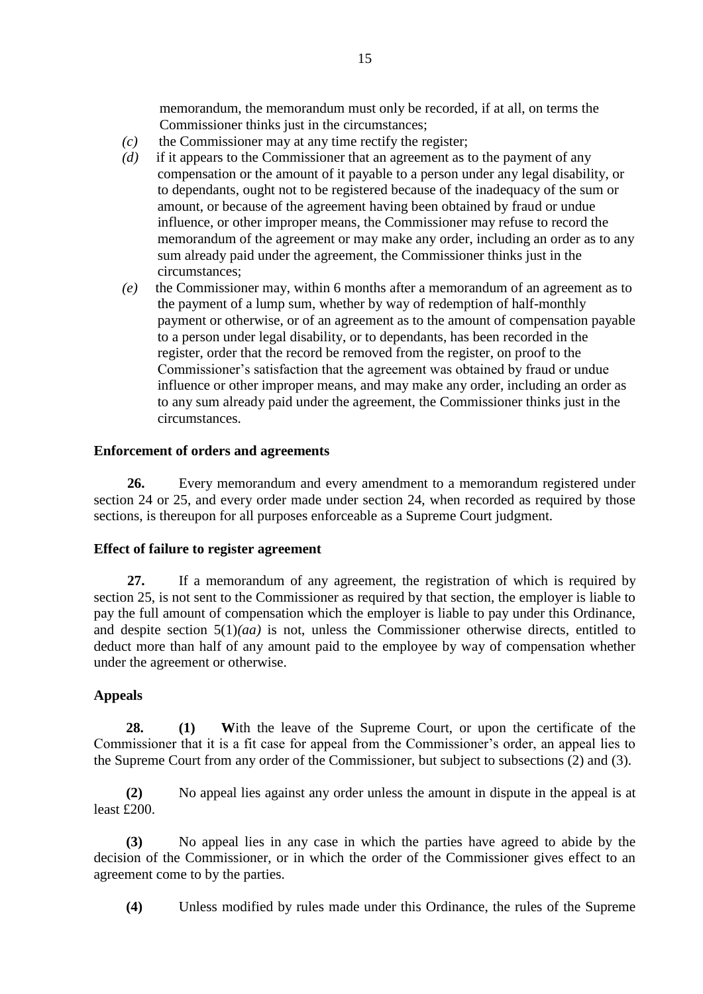memorandum, the memorandum must only be recorded, if at all, on terms the Commissioner thinks just in the circumstances;

- *(c)* the Commissioner may at any time rectify the register;
- *(d)* if it appears to the Commissioner that an agreement as to the payment of any compensation or the amount of it payable to a person under any legal disability, or to dependants, ought not to be registered because of the inadequacy of the sum or amount, or because of the agreement having been obtained by fraud or undue influence, or other improper means, the Commissioner may refuse to record the memorandum of the agreement or may make any order, including an order as to any sum already paid under the agreement, the Commissioner thinks just in the circumstances;
- *(e)* the Commissioner may, within 6 months after a memorandum of an agreement as to the payment of a lump sum, whether by way of redemption of half-monthly payment or otherwise, or of an agreement as to the amount of compensation payable to a person under legal disability, or to dependants, has been recorded in the register, order that the record be removed from the register, on proof to the Commissioner's satisfaction that the agreement was obtained by fraud or undue influence or other improper means, and may make any order, including an order as to any sum already paid under the agreement, the Commissioner thinks just in the circumstances.

# **Enforcement of orders and agreements**

**26.** Every memorandum and every amendment to a memorandum registered under section 24 or 25, and every order made under section 24, when recorded as required by those sections, is thereupon for all purposes enforceable as a Supreme Court judgment.

# **Effect of failure to register agreement**

**27.** If a memorandum of any agreement, the registration of which is required by section 25, is not sent to the Commissioner as required by that section, the employer is liable to pay the full amount of compensation which the employer is liable to pay under this Ordinance, and despite section 5(1)*(aa)* is not, unless the Commissioner otherwise directs, entitled to deduct more than half of any amount paid to the employee by way of compensation whether under the agreement or otherwise.

# **Appeals**

**28. (1) W**ith the leave of the Supreme Court, or upon the certificate of the Commissioner that it is a fit case for appeal from the Commissioner's order, an appeal lies to the Supreme Court from any order of the Commissioner, but subject to subsections (2) and (3).

**(2)** No appeal lies against any order unless the amount in dispute in the appeal is at least £200.

**(3)** No appeal lies in any case in which the parties have agreed to abide by the decision of the Commissioner, or in which the order of the Commissioner gives effect to an agreement come to by the parties.

**(4)** Unless modified by rules made under this Ordinance, the rules of the Supreme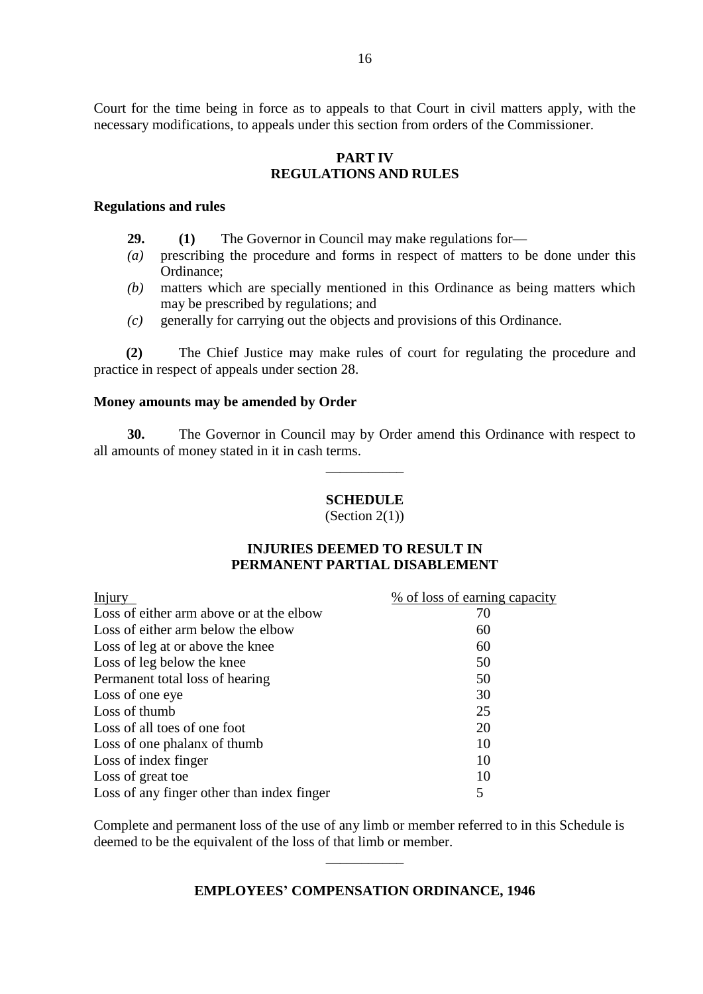Court for the time being in force as to appeals to that Court in civil matters apply, with the necessary modifications, to appeals under this section from orders of the Commissioner.

# **PART IV REGULATIONS AND RULES**

#### **Regulations and rules**

- **29. (1)** The Governor in Council may make regulations for—
- *(a)* prescribing the procedure and forms in respect of matters to be done under this Ordinance;
- *(b)* matters which are specially mentioned in this Ordinance as being matters which may be prescribed by regulations; and
- *(c)* generally for carrying out the objects and provisions of this Ordinance.

**(2)** The Chief Justice may make rules of court for regulating the procedure and practice in respect of appeals under section 28.

#### **Money amounts may be amended by Order**

**30.** The Governor in Council may by Order amend this Ordinance with respect to all amounts of money stated in it in cash terms.

\_\_\_\_\_\_\_\_\_\_\_

#### **SCHEDULE**

(Section  $2(1)$ )

# **INJURIES DEEMED TO RESULT IN PERMANENT PARTIAL DISABLEMENT**

| <b>Injury</b>                              | % of loss of earning capacity |
|--------------------------------------------|-------------------------------|
| Loss of either arm above or at the elbow   | 70                            |
| Loss of either arm below the elbow         | 60                            |
| Loss of leg at or above the knee           | 60                            |
| Loss of leg below the knee                 | 50                            |
| Permanent total loss of hearing            | 50                            |
| Loss of one eye                            | 30                            |
| Loss of thumb                              | 25                            |
| Loss of all toes of one foot               | 20                            |
| Loss of one phalanx of thumb               | 10                            |
| Loss of index finger                       | 10                            |
| Loss of great toe                          | 10                            |
| Loss of any finger other than index finger | 5                             |

Complete and permanent loss of the use of any limb or member referred to in this Schedule is deemed to be the equivalent of the loss of that limb or member.

#### **EMPLOYEES' COMPENSATION ORDINANCE, 1946**

\_\_\_\_\_\_\_\_\_\_\_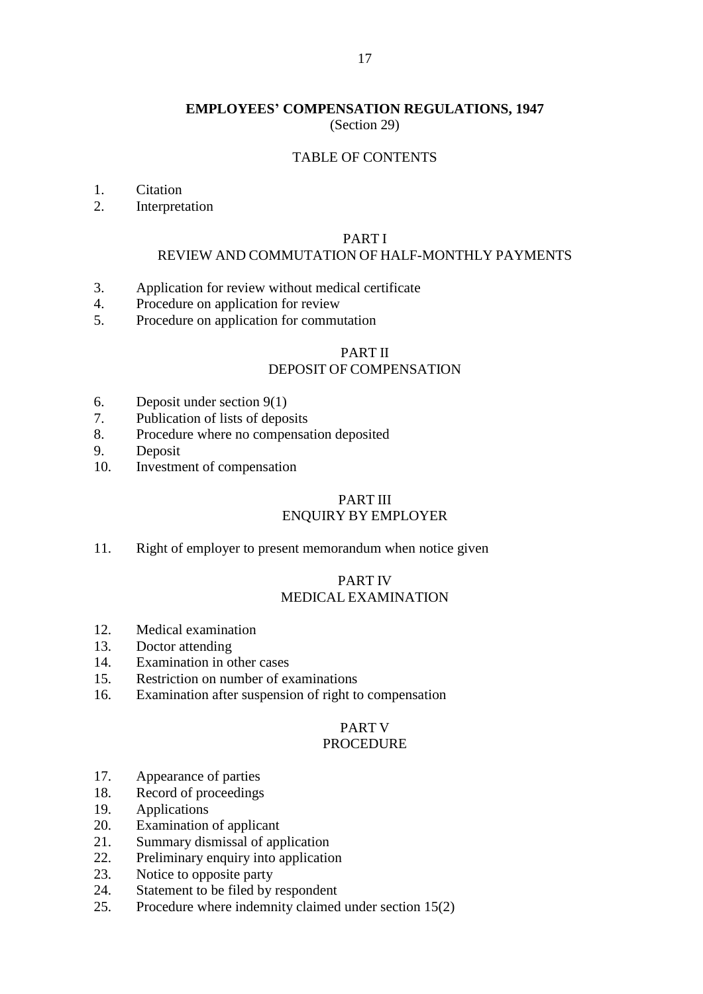#### **EMPLOYEES' COMPENSATION REGULATIONS, 1947** (Section 29)

#### TABLE OF CONTENTS

- 1. Citation
- 2. Interpretation

#### PART I

#### REVIEW AND COMMUTATION OF HALF-MONTHLY PAYMENTS

- 3. Application for review without medical certificate
- 4. Procedure on application for review
- 5. Procedure on application for commutation

### PART II DEPOSIT OF COMPENSATION

- 6. Deposit under section 9(1)
- 7. Publication of lists of deposits
- 8. Procedure where no compensation deposited
- 9. Deposit
- 10. Investment of compensation

#### PART III ENQUIRY BY EMPLOYER

11. Right of employer to present memorandum when notice given

# PART IV MEDICAL EXAMINATION

- 12. Medical examination
- 13. Doctor attending
- 14. Examination in other cases
- 15. Restriction on number of examinations
- 16. Examination after suspension of right to compensation

# PART V

# PROCEDURE

- 17. Appearance of parties
- 18. Record of proceedings
- 19. Applications
- 20. Examination of applicant
- 21. Summary dismissal of application
- 22. Preliminary enquiry into application
- 23. Notice to opposite party
- 24. Statement to be filed by respondent
- 25. Procedure where indemnity claimed under section 15(2)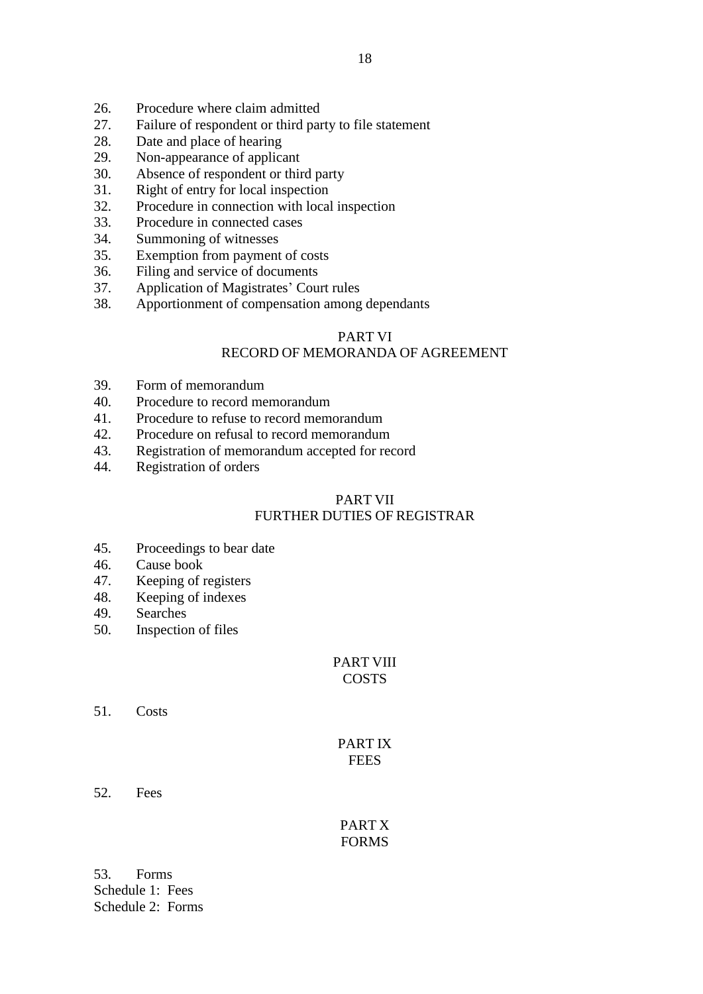- 26. Procedure where claim admitted
- 27. Failure of respondent or third party to file statement
- 28. Date and place of hearing
- 29. Non-appearance of applicant
- 30. Absence of respondent or third party
- 31. Right of entry for local inspection
- 32. Procedure in connection with local inspection
- 33. Procedure in connected cases
- 34. Summoning of witnesses
- 35. Exemption from payment of costs
- 36. Filing and service of documents
- 37. Application of Magistrates' Court rules
- 38. Apportionment of compensation among dependants

# PART VI

# RECORD OF MEMORANDA OF AGREEMENT

- 39. Form of memorandum
- 40. Procedure to record memorandum
- 41. Procedure to refuse to record memorandum
- 42. Procedure on refusal to record memorandum
- 43. Registration of memorandum accepted for record
- 44. Registration of orders

# PART VII FURTHER DUTIES OF REGISTRAR

- 45. Proceedings to bear date
- 46. Cause book
- 47. Keeping of registers
- 48. Keeping of indexes
- 49. Searches
- 50. Inspection of files

#### PART VIII **COSTS**

51. Costs

# PART IX **FEES**

52. Fees

PART X FORMS

53. Forms Schedule 1: Fees Schedule 2: Forms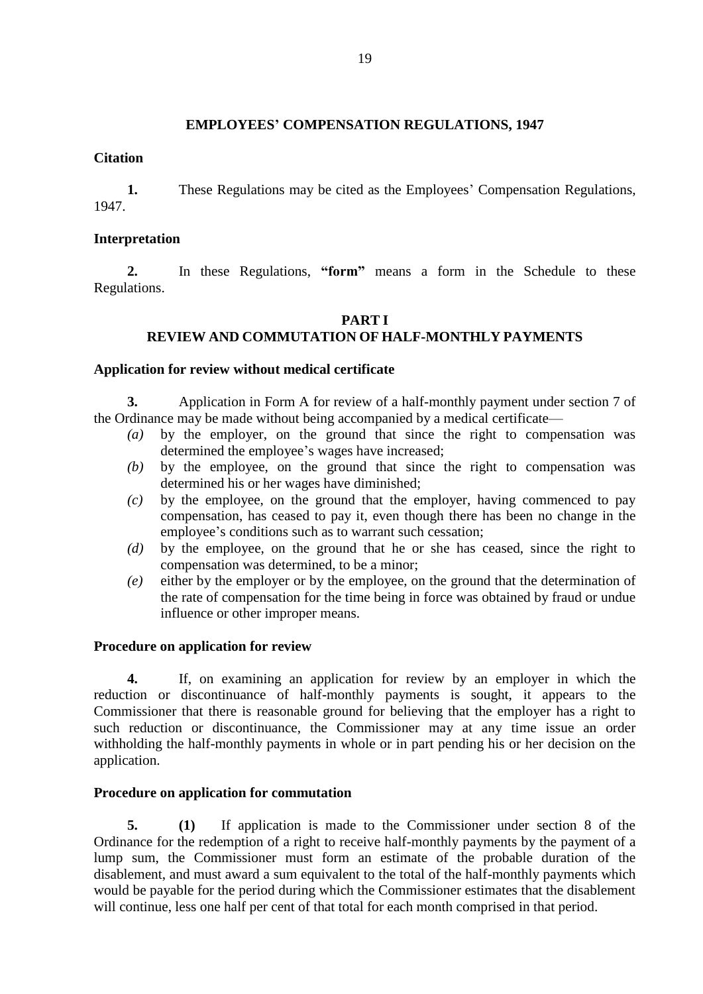# **EMPLOYEES' COMPENSATION REGULATIONS, 1947**

### **Citation**

**1.** These Regulations may be cited as the Employees' Compensation Regulations, 1947.

### **Interpretation**

**2.** In these Regulations, **"form"** means a form in the Schedule to these Regulations.

### **PART I REVIEW AND COMMUTATION OF HALF-MONTHLY PAYMENTS**

#### **Application for review without medical certificate**

**3.** Application in Form A for review of a half-monthly payment under section 7 of the Ordinance may be made without being accompanied by a medical certificate—

- *(a)* by the employer, on the ground that since the right to compensation was determined the employee's wages have increased;
- *(b)* by the employee, on the ground that since the right to compensation was determined his or her wages have diminished;
- *(c)* by the employee, on the ground that the employer, having commenced to pay compensation, has ceased to pay it, even though there has been no change in the employee's conditions such as to warrant such cessation;
- *(d)* by the employee, on the ground that he or she has ceased, since the right to compensation was determined, to be a minor;
- *(e)* either by the employer or by the employee, on the ground that the determination of the rate of compensation for the time being in force was obtained by fraud or undue influence or other improper means.

#### **Procedure on application for review**

**4.** If, on examining an application for review by an employer in which the reduction or discontinuance of half-monthly payments is sought, it appears to the Commissioner that there is reasonable ground for believing that the employer has a right to such reduction or discontinuance, the Commissioner may at any time issue an order withholding the half-monthly payments in whole or in part pending his or her decision on the application.

# **Procedure on application for commutation**

**5. (1)** If application is made to the Commissioner under section 8 of the Ordinance for the redemption of a right to receive half-monthly payments by the payment of a lump sum, the Commissioner must form an estimate of the probable duration of the disablement, and must award a sum equivalent to the total of the half-monthly payments which would be payable for the period during which the Commissioner estimates that the disablement will continue, less one half per cent of that total for each month comprised in that period.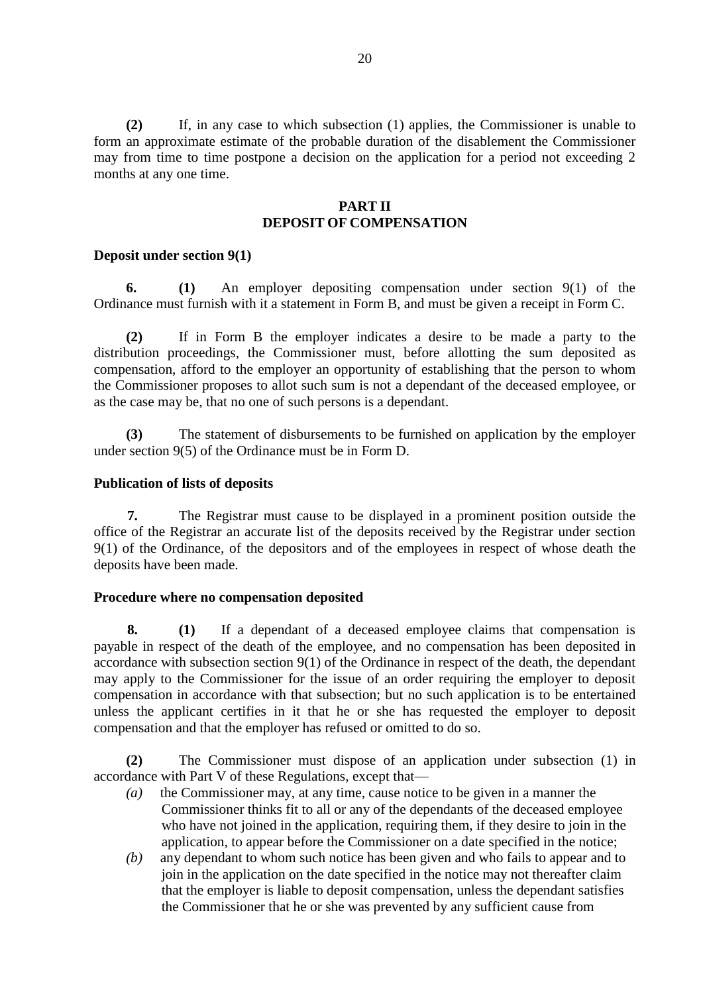**(2)** If, in any case to which subsection (1) applies, the Commissioner is unable to form an approximate estimate of the probable duration of the disablement the Commissioner may from time to time postpone a decision on the application for a period not exceeding 2 months at any one time.

### **PART II DEPOSIT OF COMPENSATION**

#### **Deposit under section 9(1)**

**6. (1)** An employer depositing compensation under section 9(1) of the Ordinance must furnish with it a statement in Form B, and must be given a receipt in Form C.

**(2)** If in Form B the employer indicates a desire to be made a party to the distribution proceedings, the Commissioner must, before allotting the sum deposited as compensation, afford to the employer an opportunity of establishing that the person to whom the Commissioner proposes to allot such sum is not a dependant of the deceased employee, or as the case may be, that no one of such persons is a dependant.

**(3)** The statement of disbursements to be furnished on application by the employer under section 9(5) of the Ordinance must be in Form D.

### **Publication of lists of deposits**

**7.** The Registrar must cause to be displayed in a prominent position outside the office of the Registrar an accurate list of the deposits received by the Registrar under section 9(1) of the Ordinance, of the depositors and of the employees in respect of whose death the deposits have been made.

#### **Procedure where no compensation deposited**

**8. (1)** If a dependant of a deceased employee claims that compensation is payable in respect of the death of the employee, and no compensation has been deposited in accordance with subsection section 9(1) of the Ordinance in respect of the death, the dependant may apply to the Commissioner for the issue of an order requiring the employer to deposit compensation in accordance with that subsection; but no such application is to be entertained unless the applicant certifies in it that he or she has requested the employer to deposit compensation and that the employer has refused or omitted to do so.

**(2)** The Commissioner must dispose of an application under subsection (1) in accordance with Part V of these Regulations, except that—

- *(a)* the Commissioner may, at any time, cause notice to be given in a manner the Commissioner thinks fit to all or any of the dependants of the deceased employee who have not joined in the application, requiring them, if they desire to join in the application, to appear before the Commissioner on a date specified in the notice;
- *(b)* any dependant to whom such notice has been given and who fails to appear and to join in the application on the date specified in the notice may not thereafter claim that the employer is liable to deposit compensation, unless the dependant satisfies the Commissioner that he or she was prevented by any sufficient cause from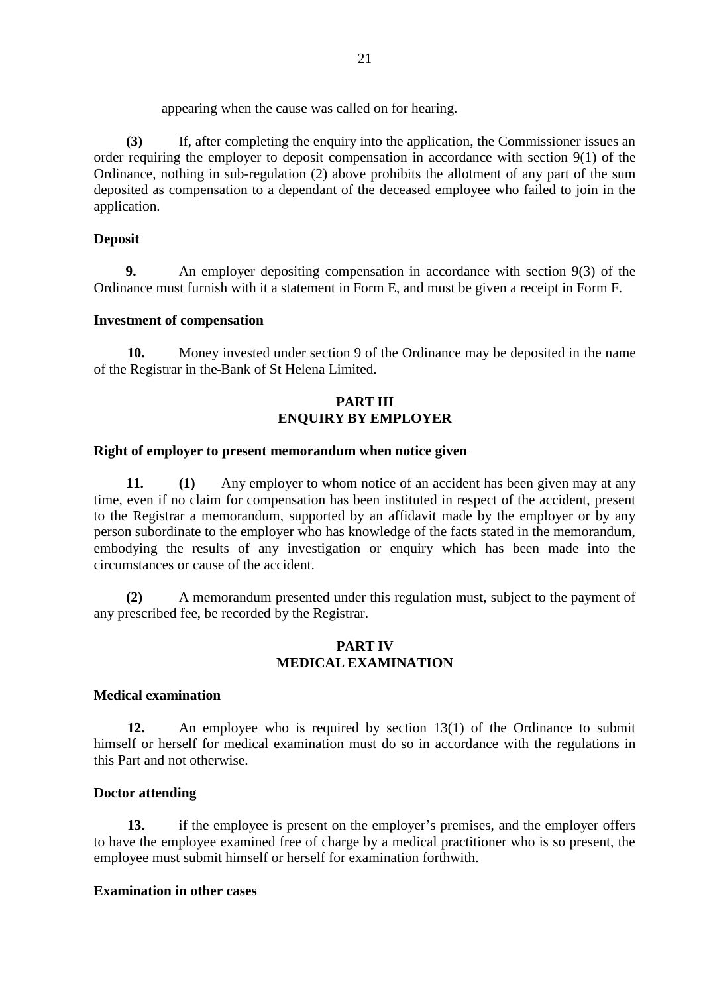appearing when the cause was called on for hearing.

**(3)** If, after completing the enquiry into the application, the Commissioner issues an order requiring the employer to deposit compensation in accordance with section 9(1) of the Ordinance, nothing in sub-regulation (2) above prohibits the allotment of any part of the sum deposited as compensation to a dependant of the deceased employee who failed to join in the application.

### **Deposit**

 **9.** An employer depositing compensation in accordance with section 9(3) of the Ordinance must furnish with it a statement in Form E, and must be given a receipt in Form F.

### **Investment of compensation**

**10.** Money invested under section 9 of the Ordinance may be deposited in the name of the Registrar in the Bank of St Helena Limited.

### **PART III ENQUIRY BY EMPLOYER**

#### **Right of employer to present memorandum when notice given**

**11. (1)** Any employer to whom notice of an accident has been given may at any time, even if no claim for compensation has been instituted in respect of the accident, present to the Registrar a memorandum, supported by an affidavit made by the employer or by any person subordinate to the employer who has knowledge of the facts stated in the memorandum, embodying the results of any investigation or enquiry which has been made into the circumstances or cause of the accident.

**(2)** A memorandum presented under this regulation must, subject to the payment of any prescribed fee, be recorded by the Registrar.

#### **PART IV MEDICAL EXAMINATION**

#### **Medical examination**

**12.** An employee who is required by section 13(1) of the Ordinance to submit himself or herself for medical examination must do so in accordance with the regulations in this Part and not otherwise.

#### **Doctor attending**

**13.** if the employee is present on the employer's premises, and the employer offers to have the employee examined free of charge by a medical practitioner who is so present, the employee must submit himself or herself for examination forthwith.

#### **Examination in other cases**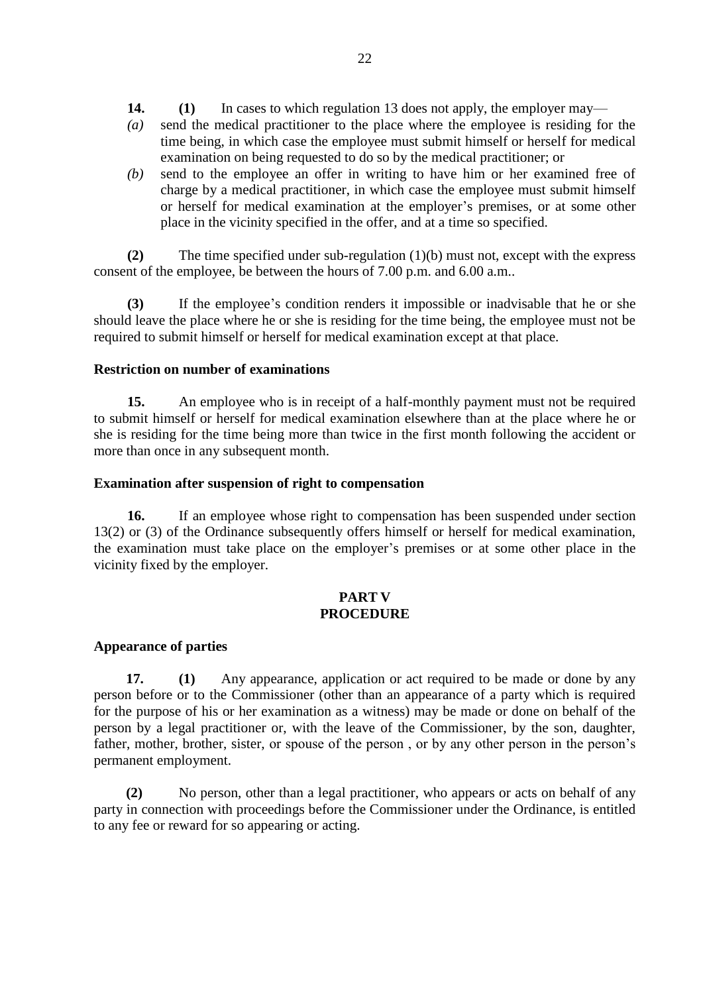- **14. (1)** In cases to which regulation 13 does not apply, the employer may—
- *(a)* send the medical practitioner to the place where the employee is residing for the time being, in which case the employee must submit himself or herself for medical examination on being requested to do so by the medical practitioner; or
- *(b)* send to the employee an offer in writing to have him or her examined free of charge by a medical practitioner, in which case the employee must submit himself or herself for medical examination at the employer's premises, or at some other place in the vicinity specified in the offer, and at a time so specified.

**(2)** The time specified under sub-regulation (1)(b) must not, except with the express consent of the employee, be between the hours of 7.00 p.m. and 6.00 a.m..

**(3)** If the employee's condition renders it impossible or inadvisable that he or she should leave the place where he or she is residing for the time being, the employee must not be required to submit himself or herself for medical examination except at that place.

### **Restriction on number of examinations**

**15.** An employee who is in receipt of a half-monthly payment must not be required to submit himself or herself for medical examination elsewhere than at the place where he or she is residing for the time being more than twice in the first month following the accident or more than once in any subsequent month.

### **Examination after suspension of right to compensation**

**16.** If an employee whose right to compensation has been suspended under section 13(2) or (3) of the Ordinance subsequently offers himself or herself for medical examination, the examination must take place on the employer's premises or at some other place in the vicinity fixed by the employer.

# **PART V PROCEDURE**

#### **Appearance of parties**

**17. (1)** Any appearance, application or act required to be made or done by any person before or to the Commissioner (other than an appearance of a party which is required for the purpose of his or her examination as a witness) may be made or done on behalf of the person by a legal practitioner or, with the leave of the Commissioner, by the son, daughter, father, mother, brother, sister, or spouse of the person , or by any other person in the person's permanent employment.

**(2)** No person, other than a legal practitioner, who appears or acts on behalf of any party in connection with proceedings before the Commissioner under the Ordinance, is entitled to any fee or reward for so appearing or acting.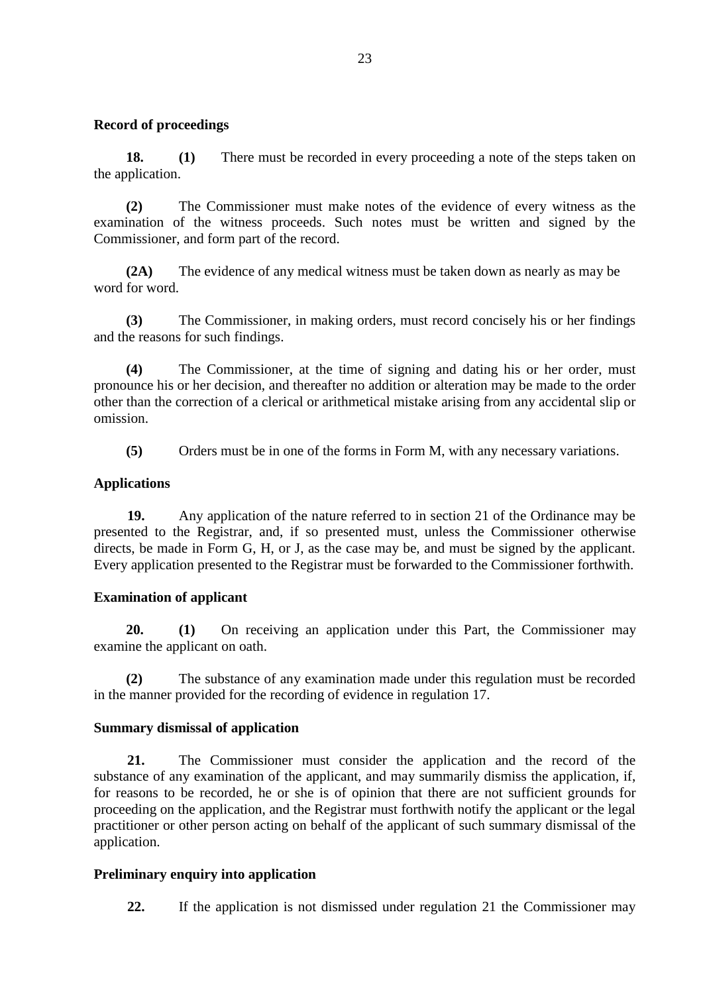### **Record of proceedings**

**18. (1)** There must be recorded in every proceeding a note of the steps taken on the application.

**(2)** The Commissioner must make notes of the evidence of every witness as the examination of the witness proceeds. Such notes must be written and signed by the Commissioner, and form part of the record.

**(2A)** The evidence of any medical witness must be taken down as nearly as may be word for word.

**(3)** The Commissioner, in making orders, must record concisely his or her findings and the reasons for such findings.

**(4)** The Commissioner, at the time of signing and dating his or her order, must pronounce his or her decision, and thereafter no addition or alteration may be made to the order other than the correction of a clerical or arithmetical mistake arising from any accidental slip or omission.

**(5)** Orders must be in one of the forms in Form M, with any necessary variations.

# **Applications**

**19.** Any application of the nature referred to in section 21 of the Ordinance may be presented to the Registrar, and, if so presented must, unless the Commissioner otherwise directs, be made in Form G, H, or J, as the case may be, and must be signed by the applicant. Every application presented to the Registrar must be forwarded to the Commissioner forthwith.

# **Examination of applicant**

**20. (1)** On receiving an application under this Part, the Commissioner may examine the applicant on oath.

**(2)** The substance of any examination made under this regulation must be recorded in the manner provided for the recording of evidence in regulation 17.

# **Summary dismissal of application**

**21.** The Commissioner must consider the application and the record of the substance of any examination of the applicant, and may summarily dismiss the application, if, for reasons to be recorded, he or she is of opinion that there are not sufficient grounds for proceeding on the application, and the Registrar must forthwith notify the applicant or the legal practitioner or other person acting on behalf of the applicant of such summary dismissal of the application.

# **Preliminary enquiry into application**

**22.** If the application is not dismissed under regulation 21 the Commissioner may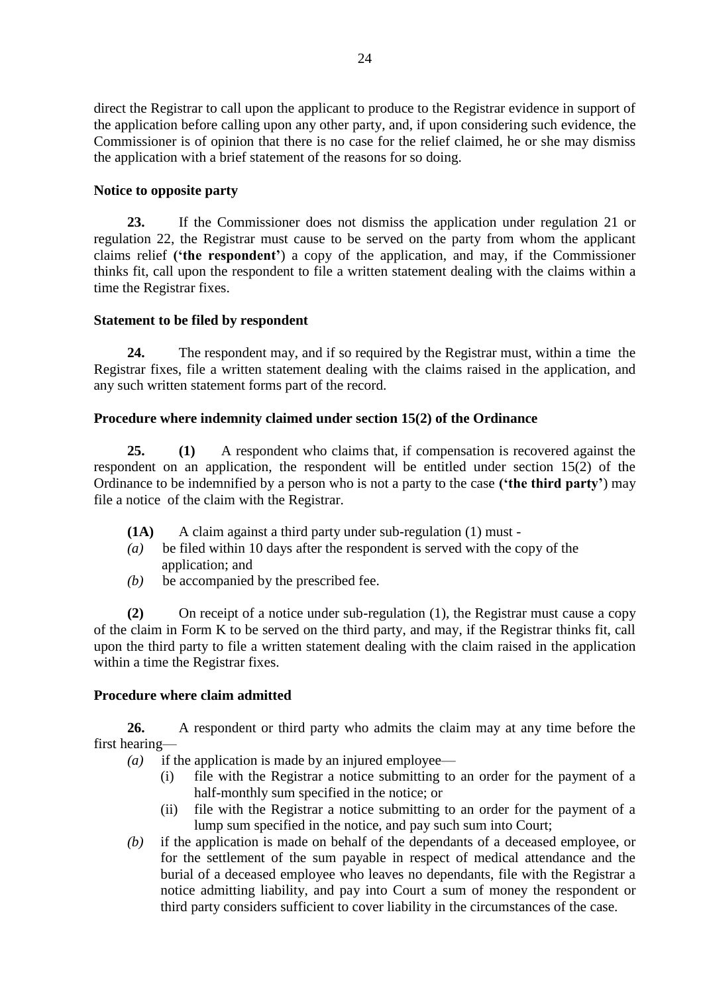direct the Registrar to call upon the applicant to produce to the Registrar evidence in support of the application before calling upon any other party, and, if upon considering such evidence, the Commissioner is of opinion that there is no case for the relief claimed, he or she may dismiss the application with a brief statement of the reasons for so doing.

# **Notice to opposite party**

**23.** If the Commissioner does not dismiss the application under regulation 21 or regulation 22, the Registrar must cause to be served on the party from whom the applicant claims relief **('the respondent'**) a copy of the application, and may, if the Commissioner thinks fit, call upon the respondent to file a written statement dealing with the claims within a time the Registrar fixes.

# **Statement to be filed by respondent**

**24.** The respondent may, and if so required by the Registrar must, within a time the Registrar fixes, file a written statement dealing with the claims raised in the application, and any such written statement forms part of the record.

# **Procedure where indemnity claimed under section 15(2) of the Ordinance**

**25. (1)** A respondent who claims that, if compensation is recovered against the respondent on an application, the respondent will be entitled under section 15(2) of the Ordinance to be indemnified by a person who is not a party to the case **('the third party'**) may file a notice of the claim with the Registrar.

- **(1A)** A claim against a third party under sub-regulation (1) must -
- *(a)* be filed within 10 days after the respondent is served with the copy of the application; and
- *(b)* be accompanied by the prescribed fee.

**(2)** On receipt of a notice under sub-regulation (1), the Registrar must cause a copy of the claim in Form K to be served on the third party, and may, if the Registrar thinks fit, call upon the third party to file a written statement dealing with the claim raised in the application within a time the Registrar fixes.

# **Procedure where claim admitted**

**26.** A respondent or third party who admits the claim may at any time before the first hearing—

- *(a)* if the application is made by an injured employee—
	- (i) file with the Registrar a notice submitting to an order for the payment of a half-monthly sum specified in the notice; or
	- (ii) file with the Registrar a notice submitting to an order for the payment of a lump sum specified in the notice, and pay such sum into Court;
- *(b)* if the application is made on behalf of the dependants of a deceased employee, or for the settlement of the sum payable in respect of medical attendance and the burial of a deceased employee who leaves no dependants, file with the Registrar a notice admitting liability, and pay into Court a sum of money the respondent or third party considers sufficient to cover liability in the circumstances of the case.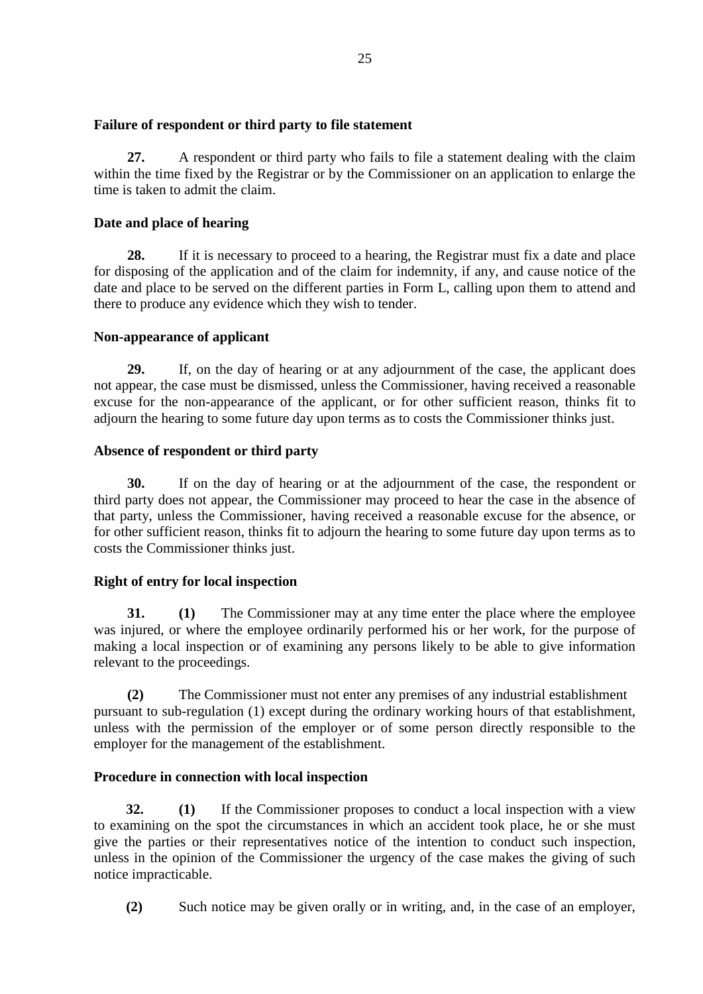# **Failure of respondent or third party to file statement**

**27.** A respondent or third party who fails to file a statement dealing with the claim within the time fixed by the Registrar or by the Commissioner on an application to enlarge the time is taken to admit the claim.

# **Date and place of hearing**

**28.** If it is necessary to proceed to a hearing, the Registrar must fix a date and place for disposing of the application and of the claim for indemnity, if any, and cause notice of the date and place to be served on the different parties in Form L, calling upon them to attend and there to produce any evidence which they wish to tender.

# **Non-appearance of applicant**

**29.** If, on the day of hearing or at any adjournment of the case, the applicant does not appear, the case must be dismissed, unless the Commissioner, having received a reasonable excuse for the non-appearance of the applicant, or for other sufficient reason, thinks fit to adjourn the hearing to some future day upon terms as to costs the Commissioner thinks just.

# **Absence of respondent or third party**

**30.** If on the day of hearing or at the adjournment of the case, the respondent or third party does not appear, the Commissioner may proceed to hear the case in the absence of that party, unless the Commissioner, having received a reasonable excuse for the absence, or for other sufficient reason, thinks fit to adjourn the hearing to some future day upon terms as to costs the Commissioner thinks just.

# **Right of entry for local inspection**

**31. (1)** The Commissioner may at any time enter the place where the employee was injured, or where the employee ordinarily performed his or her work, for the purpose of making a local inspection or of examining any persons likely to be able to give information relevant to the proceedings.

**(2)** The Commissioner must not enter any premises of any industrial establishment pursuant to sub-regulation (1) except during the ordinary working hours of that establishment, unless with the permission of the employer or of some person directly responsible to the employer for the management of the establishment.

# **Procedure in connection with local inspection**

**32. (1)** If the Commissioner proposes to conduct a local inspection with a view to examining on the spot the circumstances in which an accident took place, he or she must give the parties or their representatives notice of the intention to conduct such inspection, unless in the opinion of the Commissioner the urgency of the case makes the giving of such notice impracticable.

**(2)** Such notice may be given orally or in writing, and, in the case of an employer,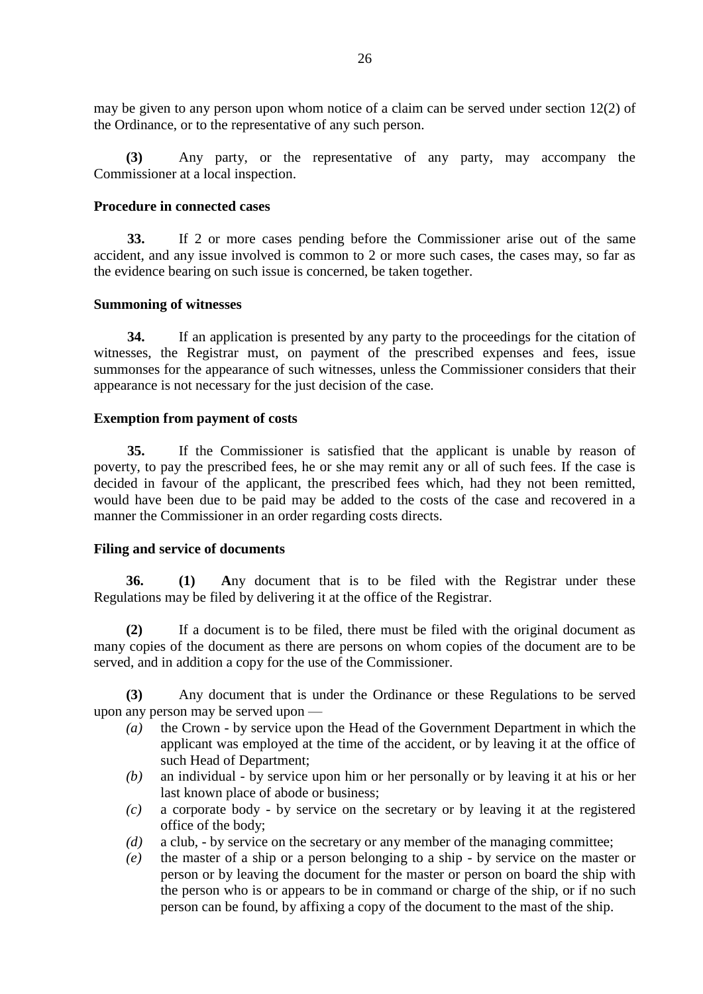may be given to any person upon whom notice of a claim can be served under section 12(2) of the Ordinance, or to the representative of any such person.

**(3)** Any party, or the representative of any party, may accompany the Commissioner at a local inspection.

### **Procedure in connected cases**

**33.** If 2 or more cases pending before the Commissioner arise out of the same accident, and any issue involved is common to 2 or more such cases, the cases may, so far as the evidence bearing on such issue is concerned, be taken together.

### **Summoning of witnesses**

**34.** If an application is presented by any party to the proceedings for the citation of witnesses, the Registrar must, on payment of the prescribed expenses and fees, issue summonses for the appearance of such witnesses, unless the Commissioner considers that their appearance is not necessary for the just decision of the case.

### **Exemption from payment of costs**

**35.** If the Commissioner is satisfied that the applicant is unable by reason of poverty, to pay the prescribed fees, he or she may remit any or all of such fees. If the case is decided in favour of the applicant, the prescribed fees which, had they not been remitted, would have been due to be paid may be added to the costs of the case and recovered in a manner the Commissioner in an order regarding costs directs.

#### **Filing and service of documents**

**36. (1) A**ny document that is to be filed with the Registrar under these Regulations may be filed by delivering it at the office of the Registrar.

**(2)** If a document is to be filed, there must be filed with the original document as many copies of the document as there are persons on whom copies of the document are to be served, and in addition a copy for the use of the Commissioner.

**(3)** Any document that is under the Ordinance or these Regulations to be served upon any person may be served upon —

- *(a)* the Crown by service upon the Head of the Government Department in which the applicant was employed at the time of the accident, or by leaving it at the office of such Head of Department;
- *(b)* an individual by service upon him or her personally or by leaving it at his or her last known place of abode or business;
- *(c)* a corporate body by service on the secretary or by leaving it at the registered office of the body;
- *(d)* a club, by service on the secretary or any member of the managing committee;
- *(e)* the master of a ship or a person belonging to a ship by service on the master or person or by leaving the document for the master or person on board the ship with the person who is or appears to be in command or charge of the ship, or if no such person can be found, by affixing a copy of the document to the mast of the ship.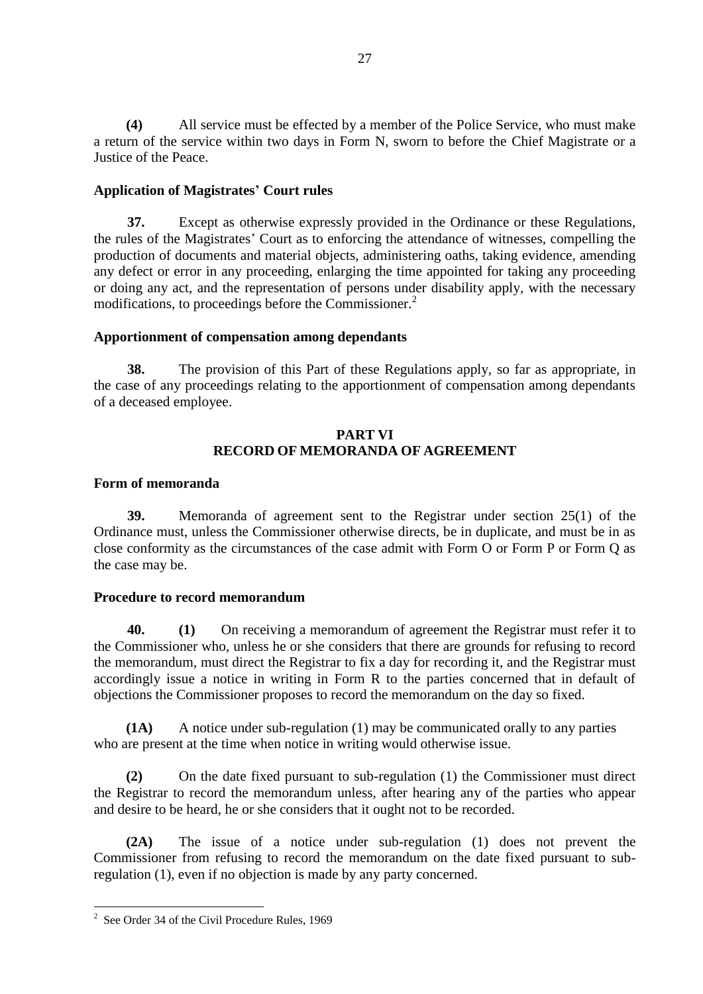**(4)** All service must be effected by a member of the Police Service, who must make a return of the service within two days in Form N, sworn to before the Chief Magistrate or a Justice of the Peace.

# **Application of Magistrates' Court rules**

**37.** Except as otherwise expressly provided in the Ordinance or these Regulations, the rules of the Magistrates' Court as to enforcing the attendance of witnesses, compelling the production of documents and material objects, administering oaths, taking evidence, amending any defect or error in any proceeding, enlarging the time appointed for taking any proceeding or doing any act, and the representation of persons under disability apply, with the necessary modifications, to proceedings before the Commissioner.<sup>2</sup>

# **Apportionment of compensation among dependants**

**38.** The provision of this Part of these Regulations apply, so far as appropriate, in the case of any proceedings relating to the apportionment of compensation among dependants of a deceased employee.

### **PART VI RECORD OF MEMORANDA OF AGREEMENT**

### **Form of memoranda**

**39.** Memoranda of agreement sent to the Registrar under section 25(1) of the Ordinance must, unless the Commissioner otherwise directs, be in duplicate, and must be in as close conformity as the circumstances of the case admit with Form O or Form P or Form Q as the case may be.

# **Procedure to record memorandum**

**40. (1)** On receiving a memorandum of agreement the Registrar must refer it to the Commissioner who, unless he or she considers that there are grounds for refusing to record the memorandum, must direct the Registrar to fix a day for recording it, and the Registrar must accordingly issue a notice in writing in Form R to the parties concerned that in default of objections the Commissioner proposes to record the memorandum on the day so fixed.

**(1A)** A notice under sub-regulation (1) may be communicated orally to any parties who are present at the time when notice in writing would otherwise issue.

**(2)** On the date fixed pursuant to sub-regulation (1) the Commissioner must direct the Registrar to record the memorandum unless, after hearing any of the parties who appear and desire to be heard, he or she considers that it ought not to be recorded.

**(2A)** The issue of a notice under sub-regulation (1) does not prevent the Commissioner from refusing to record the memorandum on the date fixed pursuant to subregulation (1), even if no objection is made by any party concerned.

1

<sup>&</sup>lt;sup>2</sup> See Order 34 of the Civil Procedure Rules, 1969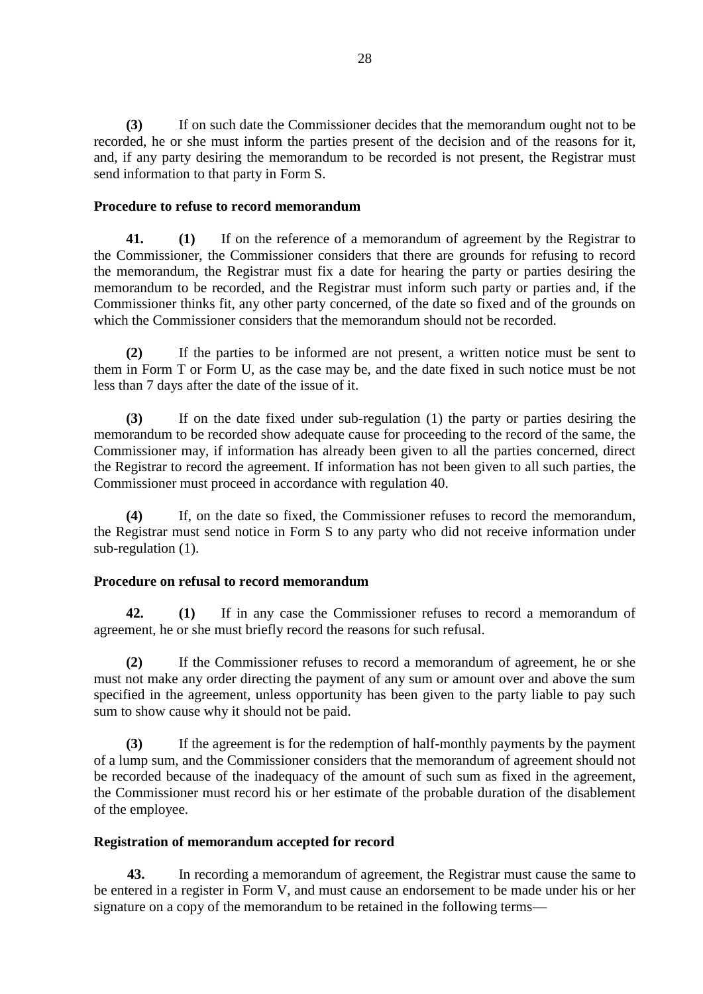**(3)** If on such date the Commissioner decides that the memorandum ought not to be recorded, he or she must inform the parties present of the decision and of the reasons for it, and, if any party desiring the memorandum to be recorded is not present, the Registrar must send information to that party in Form S.

### **Procedure to refuse to record memorandum**

**41. (1)** If on the reference of a memorandum of agreement by the Registrar to the Commissioner, the Commissioner considers that there are grounds for refusing to record the memorandum, the Registrar must fix a date for hearing the party or parties desiring the memorandum to be recorded, and the Registrar must inform such party or parties and, if the Commissioner thinks fit, any other party concerned, of the date so fixed and of the grounds on which the Commissioner considers that the memorandum should not be recorded.

**(2)** If the parties to be informed are not present, a written notice must be sent to them in Form T or Form U, as the case may be, and the date fixed in such notice must be not less than 7 days after the date of the issue of it.

**(3)** If on the date fixed under sub-regulation (1) the party or parties desiring the memorandum to be recorded show adequate cause for proceeding to the record of the same, the Commissioner may, if information has already been given to all the parties concerned, direct the Registrar to record the agreement. If information has not been given to all such parties, the Commissioner must proceed in accordance with regulation 40.

**(4)** If, on the date so fixed, the Commissioner refuses to record the memorandum, the Registrar must send notice in Form S to any party who did not receive information under sub-regulation (1).

# **Procedure on refusal to record memorandum**

**42. (1)** If in any case the Commissioner refuses to record a memorandum of agreement, he or she must briefly record the reasons for such refusal.

**(2)** If the Commissioner refuses to record a memorandum of agreement, he or she must not make any order directing the payment of any sum or amount over and above the sum specified in the agreement, unless opportunity has been given to the party liable to pay such sum to show cause why it should not be paid.

**(3)** If the agreement is for the redemption of half-monthly payments by the payment of a lump sum, and the Commissioner considers that the memorandum of agreement should not be recorded because of the inadequacy of the amount of such sum as fixed in the agreement, the Commissioner must record his or her estimate of the probable duration of the disablement of the employee.

# **Registration of memorandum accepted for record**

**43.** In recording a memorandum of agreement, the Registrar must cause the same to be entered in a register in Form V, and must cause an endorsement to be made under his or her signature on a copy of the memorandum to be retained in the following terms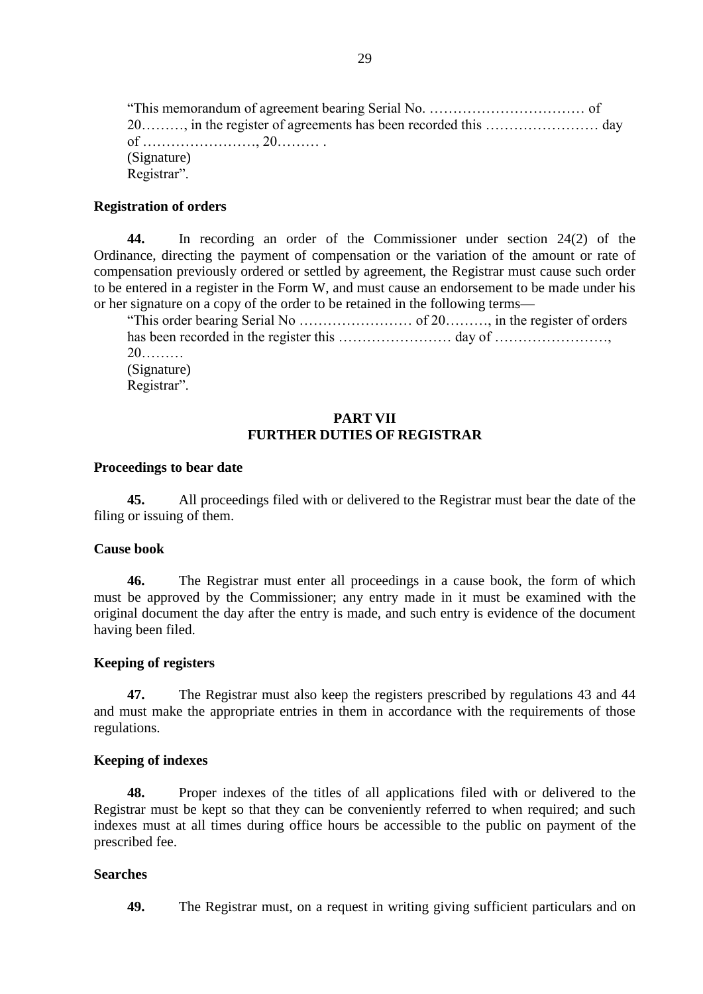"This memorandum of agreement bearing Serial No. …………………………… of 20………, in the register of agreements has been recorded this …………………… day of ……………………, 20……… . (Signature) Registrar".

#### **Registration of orders**

**44.** In recording an order of the Commissioner under section 24(2) of the Ordinance, directing the payment of compensation or the variation of the amount or rate of compensation previously ordered or settled by agreement, the Registrar must cause such order to be entered in a register in the Form W, and must cause an endorsement to be made under his or her signature on a copy of the order to be retained in the following terms—

"This order bearing Serial No …………………… of 20………, in the register of orders has been recorded in the register this …………………… day of ……………………, 20……… (Signature) Registrar".

### **PART VII FURTHER DUTIES OF REGISTRAR**

#### **Proceedings to bear date**

**45.** All proceedings filed with or delivered to the Registrar must bear the date of the filing or issuing of them.

### **Cause book**

**46.** The Registrar must enter all proceedings in a cause book, the form of which must be approved by the Commissioner; any entry made in it must be examined with the original document the day after the entry is made, and such entry is evidence of the document having been filed.

#### **Keeping of registers**

**47.** The Registrar must also keep the registers prescribed by regulations 43 and 44 and must make the appropriate entries in them in accordance with the requirements of those regulations.

#### **Keeping of indexes**

**48.** Proper indexes of the titles of all applications filed with or delivered to the Registrar must be kept so that they can be conveniently referred to when required; and such indexes must at all times during office hours be accessible to the public on payment of the prescribed fee.

#### **Searches**

**49.** The Registrar must, on a request in writing giving sufficient particulars and on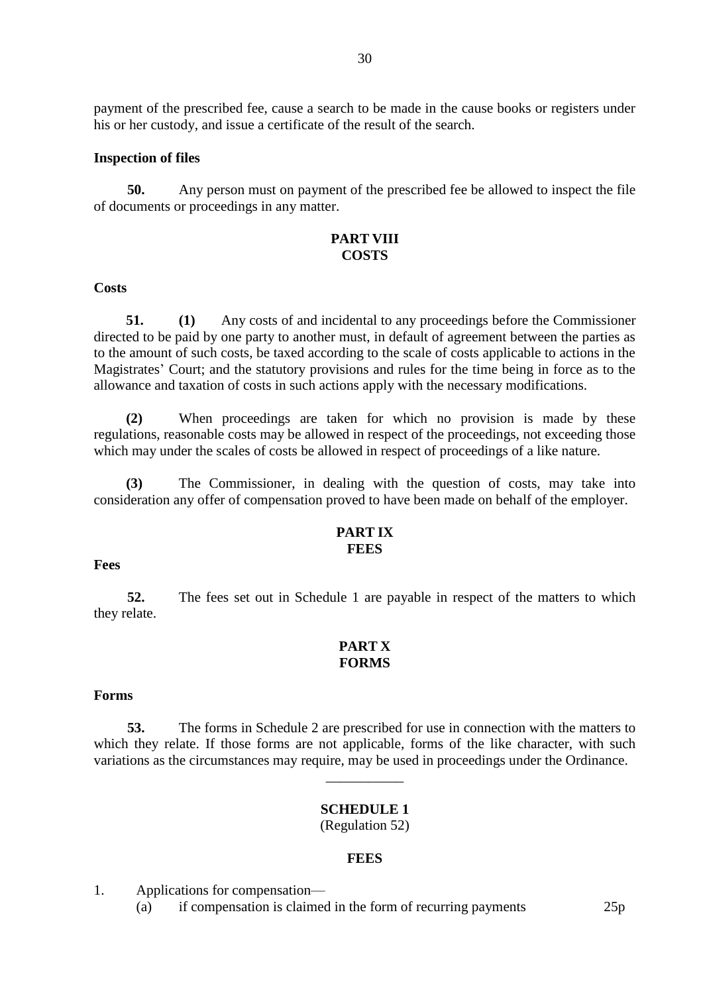payment of the prescribed fee, cause a search to be made in the cause books or registers under his or her custody, and issue a certificate of the result of the search.

#### **Inspection of files**

**50.** Any person must on payment of the prescribed fee be allowed to inspect the file of documents or proceedings in any matter.

### **PART VIII COSTS**

#### **Costs**

**51. (1)** Any costs of and incidental to any proceedings before the Commissioner directed to be paid by one party to another must, in default of agreement between the parties as to the amount of such costs, be taxed according to the scale of costs applicable to actions in the Magistrates' Court; and the statutory provisions and rules for the time being in force as to the allowance and taxation of costs in such actions apply with the necessary modifications.

**(2)** When proceedings are taken for which no provision is made by these regulations, reasonable costs may be allowed in respect of the proceedings, not exceeding those which may under the scales of costs be allowed in respect of proceedings of a like nature.

**(3)** The Commissioner, in dealing with the question of costs, may take into consideration any offer of compensation proved to have been made on behalf of the employer.

#### **PART IX FEES**

#### **Fees**

**52.** The fees set out in Schedule 1 are payable in respect of the matters to which they relate.

### **PART X FORMS**

#### **Forms**

**53.** The forms in Schedule 2 are prescribed for use in connection with the matters to which they relate. If those forms are not applicable, forms of the like character, with such variations as the circumstances may require, may be used in proceedings under the Ordinance.

\_\_\_\_\_\_\_\_\_\_\_

#### **SCHEDULE 1** (Regulation 52)

#### **FEES**

1. Applications for compensation—

(a) if compensation is claimed in the form of recurring payments 25p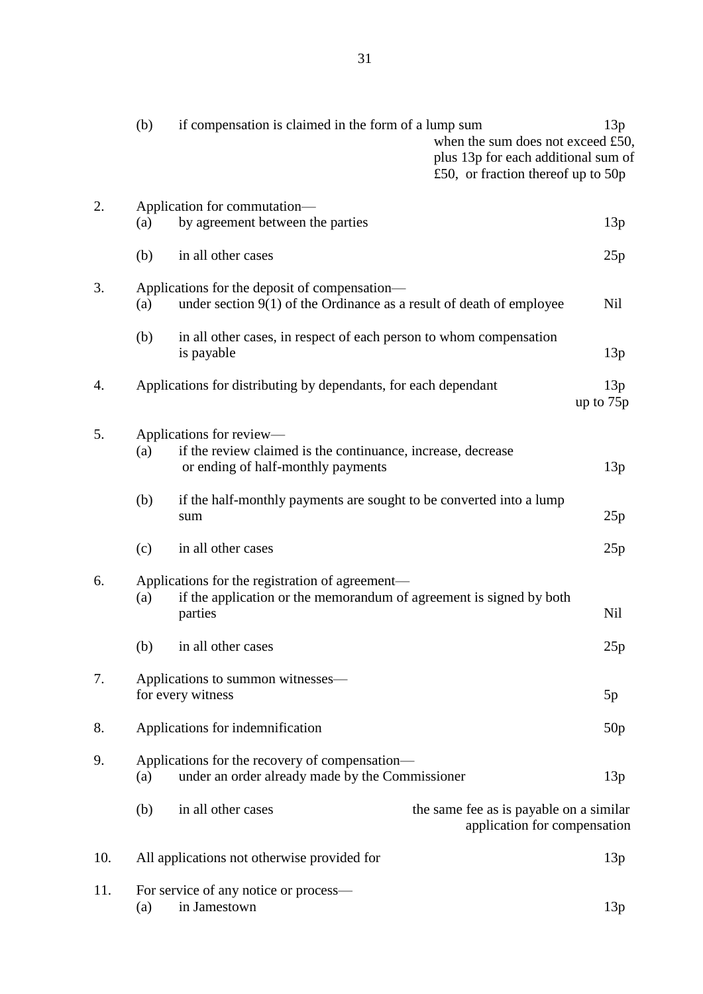|     | (b) | if compensation is claimed in the form of a lump sum                                                                              | when the sum does not exceed £50,<br>plus 13p for each additional sum of<br>£50, or fraction thereof up to $50p$ | 13p              |
|-----|-----|-----------------------------------------------------------------------------------------------------------------------------------|------------------------------------------------------------------------------------------------------------------|------------------|
| 2.  | (a) | Application for commutation-<br>by agreement between the parties                                                                  |                                                                                                                  | 13p              |
|     | (b) | in all other cases                                                                                                                |                                                                                                                  | 25p              |
| 3.  | (a) | Applications for the deposit of compensation—<br>under section $9(1)$ of the Ordinance as a result of death of employee           |                                                                                                                  | <b>Nil</b>       |
|     | (b) | in all other cases, in respect of each person to whom compensation<br>is payable                                                  |                                                                                                                  | 13p              |
| 4.  |     | Applications for distributing by dependants, for each dependant                                                                   |                                                                                                                  | 13p<br>up to 75p |
| 5.  | (a) | Applications for review—<br>if the review claimed is the continuance, increase, decrease<br>or ending of half-monthly payments    |                                                                                                                  | 13p              |
|     | (b) | if the half-monthly payments are sought to be converted into a lump<br>sum                                                        |                                                                                                                  | 25p              |
|     | (c) | in all other cases                                                                                                                |                                                                                                                  | 25p              |
| 6.  | (a) | Applications for the registration of agreement—<br>if the application or the memorandum of agreement is signed by both<br>parties |                                                                                                                  | <b>Nil</b>       |
|     | (b) | in all other cases                                                                                                                |                                                                                                                  | 25p              |
| 7.  |     | Applications to summon witnesses—<br>for every witness                                                                            |                                                                                                                  | 5p               |
| 8.  |     | Applications for indemnification                                                                                                  |                                                                                                                  | 50p              |
| 9.  | (a) | Applications for the recovery of compensation—<br>under an order already made by the Commissioner                                 |                                                                                                                  | 13p              |
|     | (b) | in all other cases                                                                                                                | the same fee as is payable on a similar<br>application for compensation                                          |                  |
| 10. |     | All applications not otherwise provided for                                                                                       |                                                                                                                  | 13p              |
| 11. | (a) | For service of any notice or process-<br>in Jamestown                                                                             |                                                                                                                  | 13p              |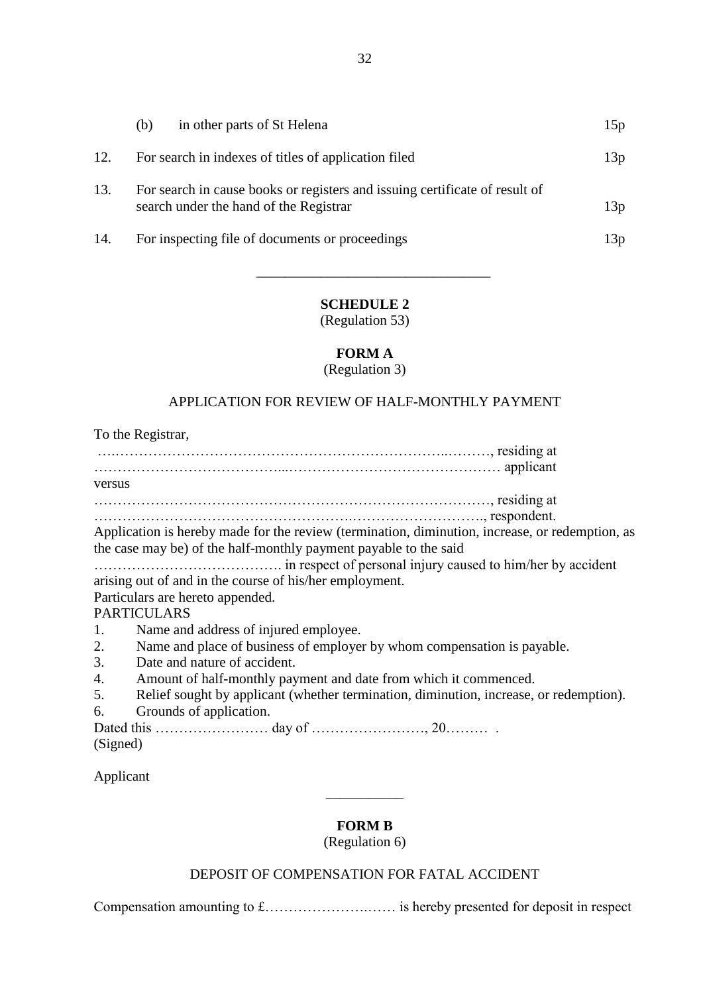|     | (b) | in other parts of St Helena                                                                                           | 15p |
|-----|-----|-----------------------------------------------------------------------------------------------------------------------|-----|
| 12. |     | For search in indexes of titles of application filed                                                                  | 13p |
| 13. |     | For search in cause books or registers and issuing certificate of result of<br>search under the hand of the Registrar | 13p |
| 14. |     | For inspecting file of documents or proceedings                                                                       | 13p |

# **SCHEDULE 2**

 $\overline{\phantom{a}}$  ,  $\overline{\phantom{a}}$  ,  $\overline{\phantom{a}}$  ,  $\overline{\phantom{a}}$  ,  $\overline{\phantom{a}}$  ,  $\overline{\phantom{a}}$  ,  $\overline{\phantom{a}}$  ,  $\overline{\phantom{a}}$  ,  $\overline{\phantom{a}}$  ,  $\overline{\phantom{a}}$  ,  $\overline{\phantom{a}}$  ,  $\overline{\phantom{a}}$  ,  $\overline{\phantom{a}}$  ,  $\overline{\phantom{a}}$  ,  $\overline{\phantom{a}}$  ,  $\overline{\phantom{a}}$ 

(Regulation 53)

# **FORM A**

(Regulation 3)

# APPLICATION FOR REVIEW OF HALF-MONTHLY PAYMENT

To the Registrar, ….……………………………………………………………..………, residing at …………………………………...……………………………………… applicant versus …………………………………………………………………………, residing at ……………………………………………….………………………., respondent. Application is hereby made for the review (termination, diminution, increase, or redemption, as the case may be) of the half-monthly payment payable to the said …………………………………. in respect of personal injury caused to him/her by accident arising out of and in the course of his/her employment. Particulars are hereto appended. PARTICULARS 1. Name and address of injured employee. 2. Name and place of business of employer by whom compensation is payable. 3. Date and nature of accident. 4. Amount of half-monthly payment and date from which it commenced. 5. Relief sought by applicant (whether termination, diminution, increase, or redemption). 6. Grounds of application. Dated this …………………… day of ……………………, 20……… . (Signed)

Applicant

# **FORM B**

\_\_\_\_\_\_\_\_\_\_\_

(Regulation 6)

# DEPOSIT OF COMPENSATION FOR FATAL ACCIDENT

Compensation amounting to £………………….…… is hereby presented for deposit in respect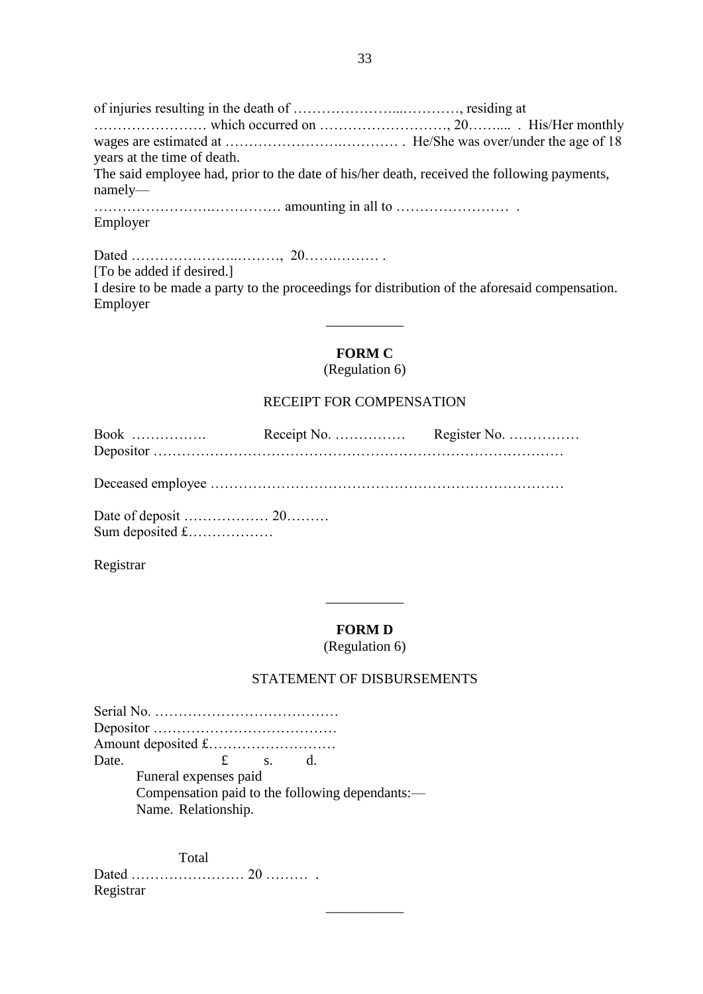of injuries resulting in the death of …………………...…………, residing at …………………… which occurred on ………………………, 20…….... . His/Her monthly wages are estimated at …………………….………… . He/She was over/under the age of 18 years at the time of death. The said employee had, prior to the date of his/her death, received the following payments, namely— …………………….…………… amounting in all to …………………… . Employer

Dated …………………..………, 20…….……… . [To be added if desired.] I desire to be made a party to the proceedings for distribution of the aforesaid compensation. Employer  $\overline{\phantom{a}}$ 

# **FORM C**

(Regulation 6)

# RECEIPT FOR COMPENSATION

| $Book$ |  |
|--------|--|
|        |  |
|        |  |

Deceased employee …………………………………………………………………

Date of deposit ……………… 20……… Sum deposited £………………

Registrar

# **FORM D**

\_\_\_\_\_\_\_\_\_\_\_

(Regulation 6)

# STATEMENT OF DISBURSEMENTS

 $\overline{\phantom{a}}$ 

| Date. | $f_{\cdot}$                                     | $S_{\rm{eq}}$ | d. |  |
|-------|-------------------------------------------------|---------------|----|--|
|       | Funeral expenses paid                           |               |    |  |
|       | Compensation paid to the following dependants:— |               |    |  |
|       | Name. Relationship.                             |               |    |  |

Total Dated …………………… 20 ……… . Registrar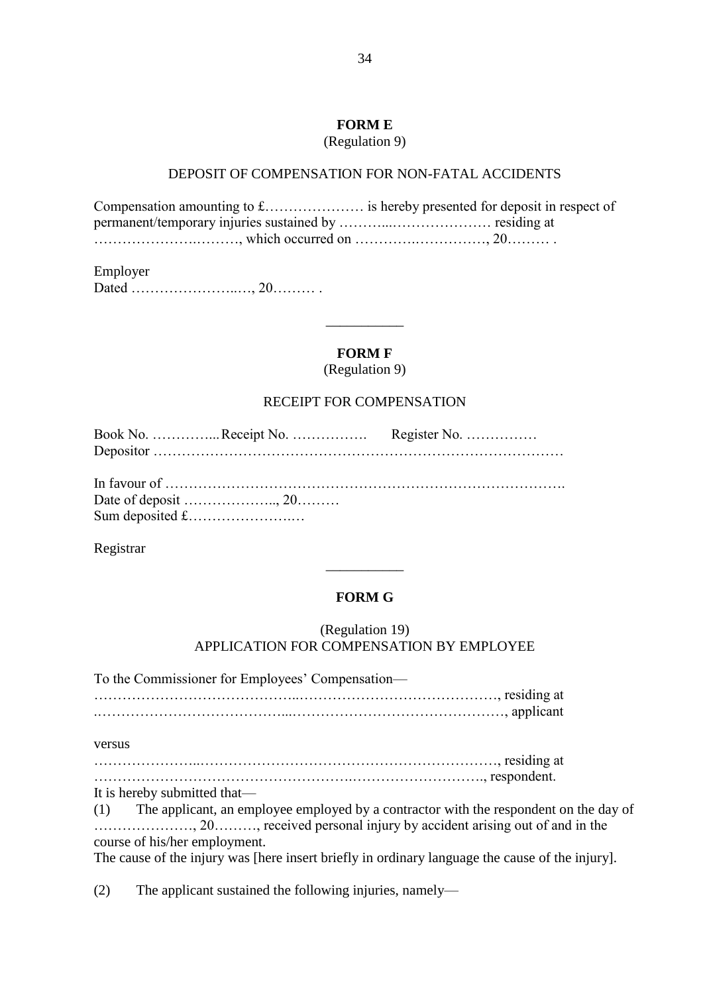# **FORM E**

(Regulation 9)

### DEPOSIT OF COMPENSATION FOR NON-FATAL ACCIDENTS

Compensation amounting to £………………… is hereby presented for deposit in respect of permanent/temporary injuries sustained by ………...………………… residing at ………………….………, which occurred on ………….……………, 20……… .

Employer Dated …………………..…, 20……… .

### **FORM F**

 $\overline{\phantom{a}}$ 

(Regulation 9)

### RECEIPT FOR COMPENSATION

Registrar

# **FORM G**

\_\_\_\_\_\_\_\_\_\_\_

# (Regulation 19) APPLICATION FOR COMPENSATION BY EMPLOYEE

To the Commissioner for Employees' Compensation— ……………………………………..……………………………………, residing at .…………………………………...………………………………………, applicant versus …………………..………………………………………………………, residing at ……………………………………………….………………………., respondent.

It is hereby submitted that— (1) The applicant, an employee employed by a contractor with the respondent on the day of

…………………, 20………, received personal injury by accident arising out of and in the course of his/her employment.

The cause of the injury was [here insert briefly in ordinary language the cause of the injury].

(2) The applicant sustained the following injuries, namely—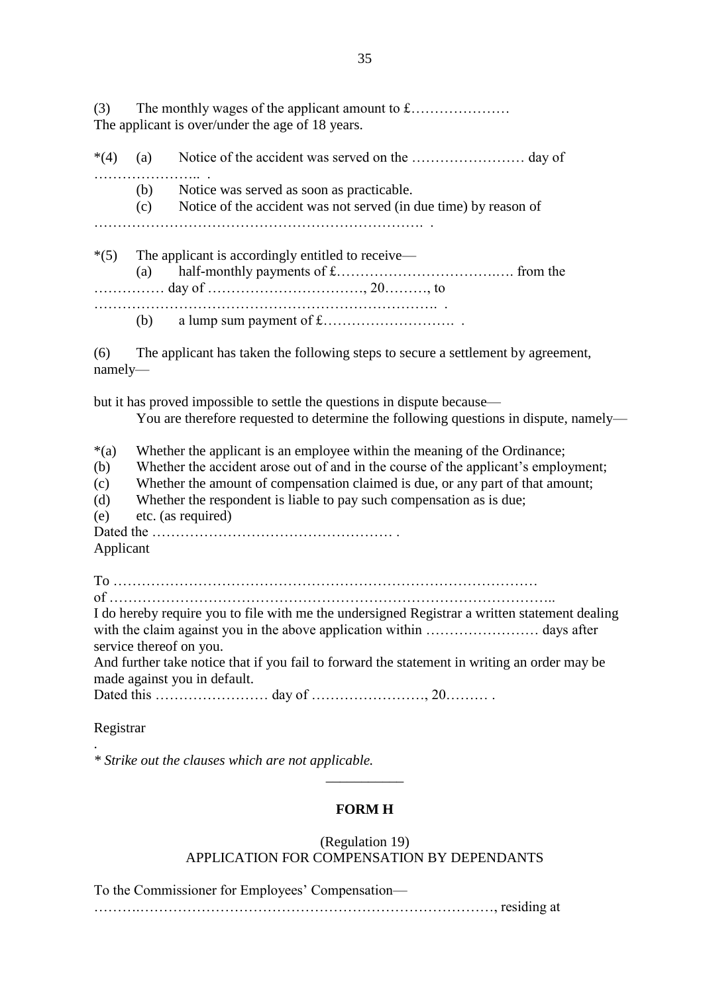| (3)                                             | The applicant is over/under the age of 18 years. |                                                                                                                                                                                                                                                                                                                                                 |  |  |
|-------------------------------------------------|--------------------------------------------------|-------------------------------------------------------------------------------------------------------------------------------------------------------------------------------------------------------------------------------------------------------------------------------------------------------------------------------------------------|--|--|
| $*(4)$                                          | (a)                                              |                                                                                                                                                                                                                                                                                                                                                 |  |  |
|                                                 | (c)                                              | (b) Notice was served as soon as practicable.<br>Notice of the accident was not served (in due time) by reason of                                                                                                                                                                                                                               |  |  |
|                                                 | (a)                                              | *(5) The applicant is accordingly entitled to receive—                                                                                                                                                                                                                                                                                          |  |  |
| (6)<br>$namely$ —                               |                                                  | The applicant has taken the following steps to secure a settlement by agreement,                                                                                                                                                                                                                                                                |  |  |
|                                                 |                                                  | but it has proved impossible to settle the questions in dispute because—<br>You are therefore requested to determine the following questions in dispute, namely-                                                                                                                                                                                |  |  |
| $*(a)$<br>(b)<br>(c)<br>(d)<br>(e)<br>Applicant |                                                  | Whether the applicant is an employee within the meaning of the Ordinance;<br>Whether the accident arose out of and in the course of the applicant's employment;<br>Whether the amount of compensation claimed is due, or any part of that amount;<br>Whether the respondent is liable to pay such compensation as is due;<br>etc. (as required) |  |  |
| Registrar                                       |                                                  | I do hereby require you to file with me the undersigned Registrar a written statement dealing<br>service thereof on you.<br>And further take notice that if you fail to forward the statement in writing an order may be<br>made against you in default.                                                                                        |  |  |

*\* Strike out the clauses which are not applicable.*

.

# **FORM H**

\_\_\_\_\_\_\_\_\_\_\_

(Regulation 19)

APPLICATION FOR COMPENSATION BY DEPENDANTS

To the Commissioner for Employees' Compensation—

……….…………………………………………………………………, residing at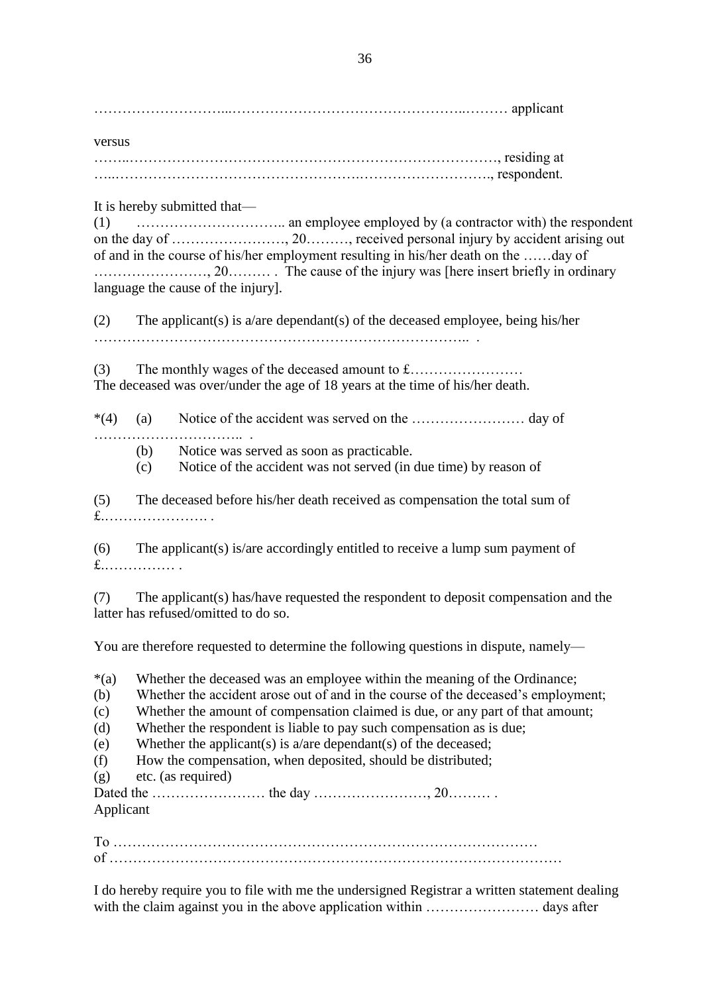………………………...…………………………………………..……… applicant

versus ……..……………………………………………………………………, residing at …..…………………………………………….………………………., respondent.

# It is hereby submitted that—

(1) ………………………….. an employee employed by (a contractor with) the respondent on the day of ……………………, 20………, received personal injury by accident arising out of and in the course of his/her employment resulting in his/her death on the ……day of ……………………, 20……… . The cause of the injury was [here insert briefly in ordinary language the cause of the injury].

(2) The applicant(s) is a/are dependant(s) of the deceased employee, being his/her …………………………………………………………………….. .

(3) The monthly wages of the deceased amount to £…………………… The deceased was over/under the age of 18 years at the time of his/her death.

\*(4) (a) Notice of the accident was served on the …………………… day of ………………………………

- (b) Notice was served as soon as practicable.
- (c) Notice of the accident was not served (in due time) by reason of

(5) The deceased before his/her death received as compensation the total sum of £.…………………. .

(6) The applicant(s) is/are accordingly entitled to receive a lump sum payment of £.…………… .

(7) The applicant(s) has/have requested the respondent to deposit compensation and the latter has refused/omitted to do so.

You are therefore requested to determine the following questions in dispute, namely—

\*(a) Whether the deceased was an employee within the meaning of the Ordinance; (b) Whether the accident arose out of and in the course of the deceased's employment; (c) Whether the amount of compensation claimed is due, or any part of that amount; (d) Whether the respondent is liable to pay such compensation as is due; (e) Whether the applicant(s) is  $a/are$  dependant(s) of the deceased; (f) How the compensation, when deposited, should be distributed; (g) etc. (as required) Dated the …………………… the day ……………………, 20……… . Applicant

To ……………………………………………………………………………… of ……………………………………………………………………………………

I do hereby require you to file with me the undersigned Registrar a written statement dealing with the claim against you in the above application within …………………… days after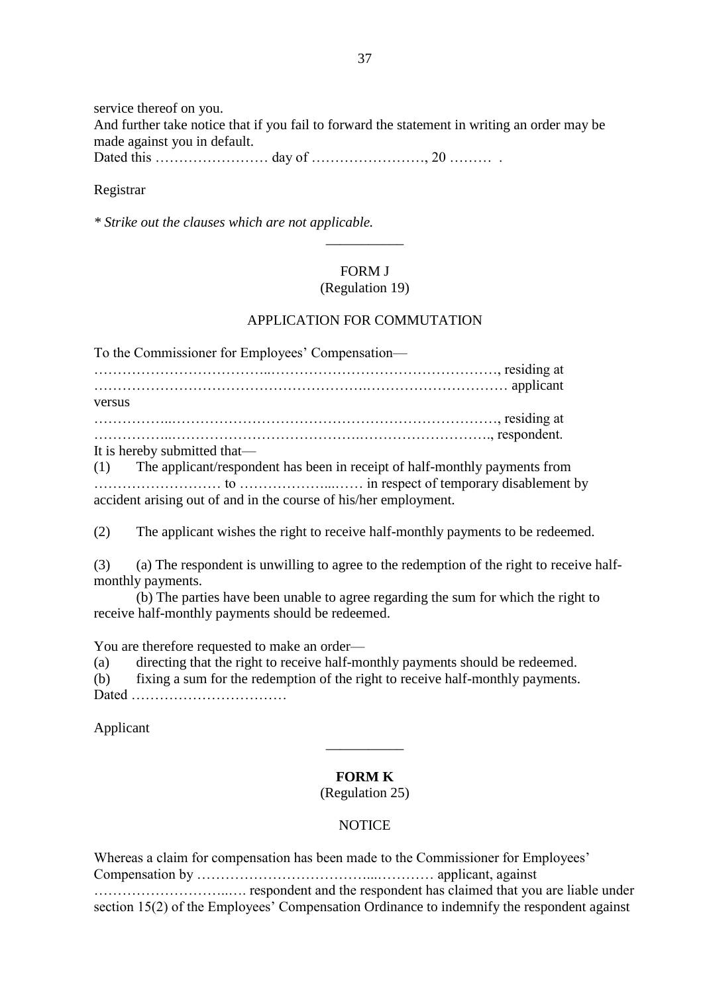service thereof on you.

And further take notice that if you fail to forward the statement in writing an order may be made against you in default.

Dated this …………………… day of ……………………, 20 ……… .

### Registrar

*\* Strike out the clauses which are not applicable.*

# FORM J

\_\_\_\_\_\_\_\_\_\_\_

### (Regulation 19)

# APPLICATION FOR COMMUTATION

To the Commissioner for Employees' Compensation—

………………………………..…………………………………………, residing at ………………………………………………….………………………… applicant versus ……………..……………………………………………………………, residing at ……………..………………………………….………………………., respondent. It is hereby submitted that—

(1) The applicant/respondent has been in receipt of half-monthly payments from ……………………… to ………………...…… in respect of temporary disablement by accident arising out of and in the course of his/her employment.

(2) The applicant wishes the right to receive half-monthly payments to be redeemed.

(3) (a) The respondent is unwilling to agree to the redemption of the right to receive halfmonthly payments.

(b) The parties have been unable to agree regarding the sum for which the right to receive half-monthly payments should be redeemed.

You are therefore requested to make an order—

(a) directing that the right to receive half-monthly payments should be redeemed.

(b) fixing a sum for the redemption of the right to receive half-monthly payments. Dated ……………………………

Applicant

# **FORM K**

\_\_\_\_\_\_\_\_\_\_\_

# (Regulation 25)

# **NOTICE**

Whereas a claim for compensation has been made to the Commissioner for Employees' Compensation by ………………………………...………… applicant, against ………………………..…. respondent and the respondent has claimed that you are liable under section 15(2) of the Employees' Compensation Ordinance to indemnify the respondent against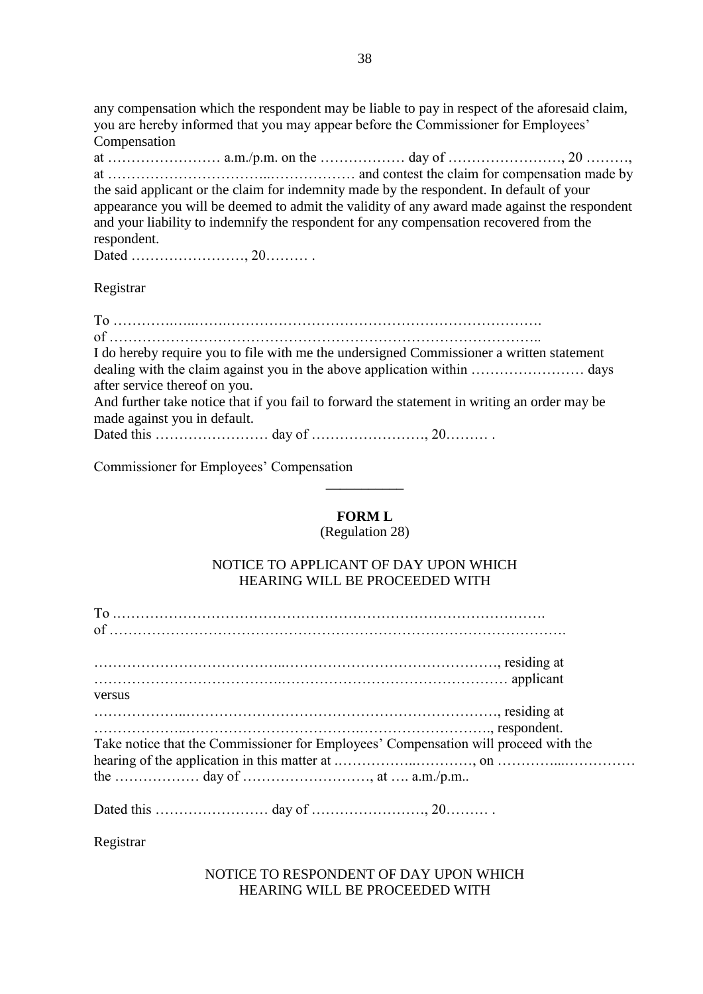any compensation which the respondent may be liable to pay in respect of the aforesaid claim, you are hereby informed that you may appear before the Commissioner for Employees' Compensation

at …………………… a.m./p.m. on the ……………… day of ……………………, 20 ………, at ……………………………..……………… and contest the claim for compensation made by the said applicant or the claim for indemnity made by the respondent. In default of your appearance you will be deemed to admit the validity of any award made against the respondent and your liability to indemnify the respondent for any compensation recovered from the respondent.

Dated ……………………, 20……… .

Registrar

| I do hereby require you to file with me the undersigned Commissioner a written statement     |
|----------------------------------------------------------------------------------------------|
|                                                                                              |
| after service thereof on you.                                                                |
| And further take notice that if you fail to forward the statement in writing an order may be |
| made against you in default.                                                                 |
|                                                                                              |

Commissioner for Employees' Compensation

# **FORM L**

\_\_\_\_\_\_\_\_\_\_\_

(Regulation 28)

# NOTICE TO APPLICANT OF DAY UPON WHICH HEARING WILL BE PROCEEDED WITH

| residing at the contract of the contract of the contract of the contract of the contract of the contract of the contract of the contract of the contract of the contract of the contract of the contract of the contract of th                                         |
|------------------------------------------------------------------------------------------------------------------------------------------------------------------------------------------------------------------------------------------------------------------------|
|                                                                                                                                                                                                                                                                        |
| versus                                                                                                                                                                                                                                                                 |
| residing at                                                                                                                                                                                                                                                            |
| respondent.                                                                                                                                                                                                                                                            |
| Take notice that the Commissioner for Employees' Compensation will proceed with the                                                                                                                                                                                    |
|                                                                                                                                                                                                                                                                        |
|                                                                                                                                                                                                                                                                        |
| $P_{\rm{t}}$ (1.1) $\sim$ 1.000 $\sim$ 2.000 $\sim$ 2.000 $\sim$ 2.000 $\sim$ 2.000 $\sim$ 2.000 $\sim$ 2.000 $\sim$ 2.000 $\sim$ 2.000 $\sim$ 2.000 $\sim$ 2.000 $\sim$ 2.000 $\sim$ 2.000 $\sim$ 2.000 $\sim$ 2.000 $\sim$ 2.000 $\sim$ 2.000 $\sim$ 2.000 $\sim$ 2. |

Dated this …………………… day of ……………………, 20……… .

Registrar

NOTICE TO RESPONDENT OF DAY UPON WHICH HEARING WILL BE PROCEEDED WITH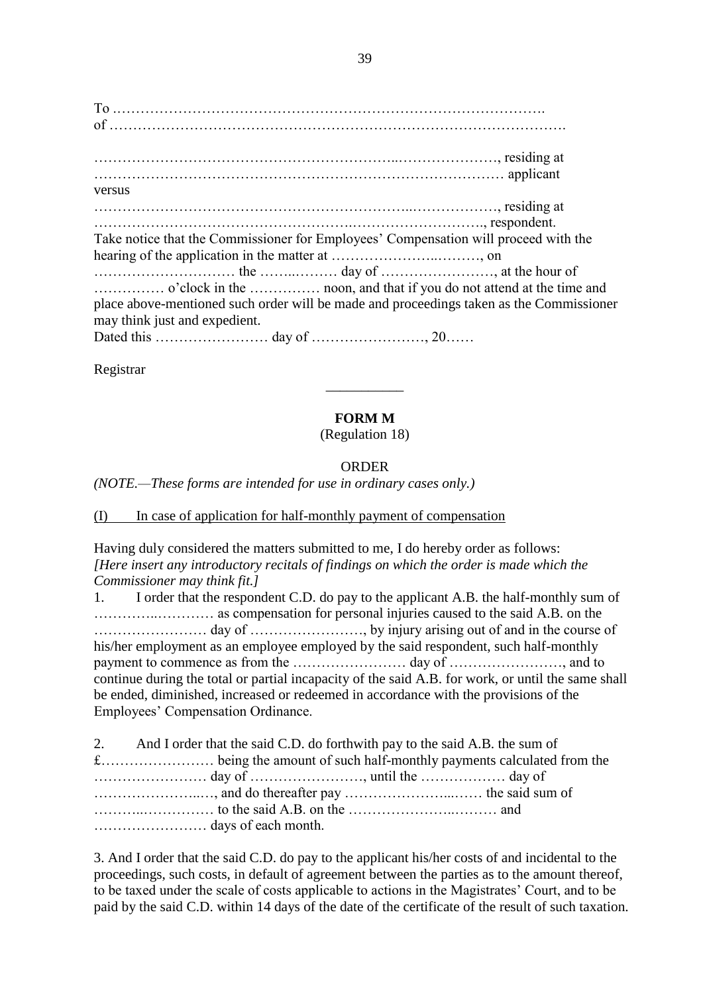To .………………………………………………………………………………. of ……………………………………………………………………………………. ………………………………………………………..…………………, residing at …………………………………………………………………………… applicant versus …………………………………………………………..………………, residing at ……………………………………………….………………………., respondent. Take notice that the Commissioner for Employees' Compensation will proceed with the hearing of the application in the matter at …………………..………, on ………………………… the ……..……… day of ……………………, at the hour of …………… o'clock in the …………… noon, and that if you do not attend at the time and place above-mentioned such order will be made and proceedings taken as the Commissioner may think just and expedient. Dated this …………………… day of ……………………, 20……

Registrar

# **FORM M**

\_\_\_\_\_\_\_\_\_\_\_

(Regulation 18)

# ORDER

*(NOTE.—These forms are intended for use in ordinary cases only.)*

(I) In case of application for half-monthly payment of compensation

Having duly considered the matters submitted to me, I do hereby order as follows: *[Here insert any introductory recitals of findings on which the order is made which the Commissioner may think fit.]*

1. I order that the respondent C.D. do pay to the applicant A.B. the half-monthly sum of …………..………… as compensation for personal injuries caused to the said A.B. on the …………………… day of ……………………, by injury arising out of and in the course of his/her employment as an employee employed by the said respondent, such half-monthly payment to commence as from the …………………… day of ……………………, and to continue during the total or partial incapacity of the said A.B. for work, or until the same shall be ended, diminished, increased or redeemed in accordance with the provisions of the Employees' Compensation Ordinance.

| 2. And I order that the said C.D. do forthwith pay to the said A.B. the sum of |  |
|--------------------------------------------------------------------------------|--|
|                                                                                |  |
|                                                                                |  |
|                                                                                |  |
|                                                                                |  |
|                                                                                |  |

3. And I order that the said C.D. do pay to the applicant his/her costs of and incidental to the proceedings, such costs, in default of agreement between the parties as to the amount thereof, to be taxed under the scale of costs applicable to actions in the Magistrates' Court, and to be paid by the said C.D. within 14 days of the date of the certificate of the result of such taxation.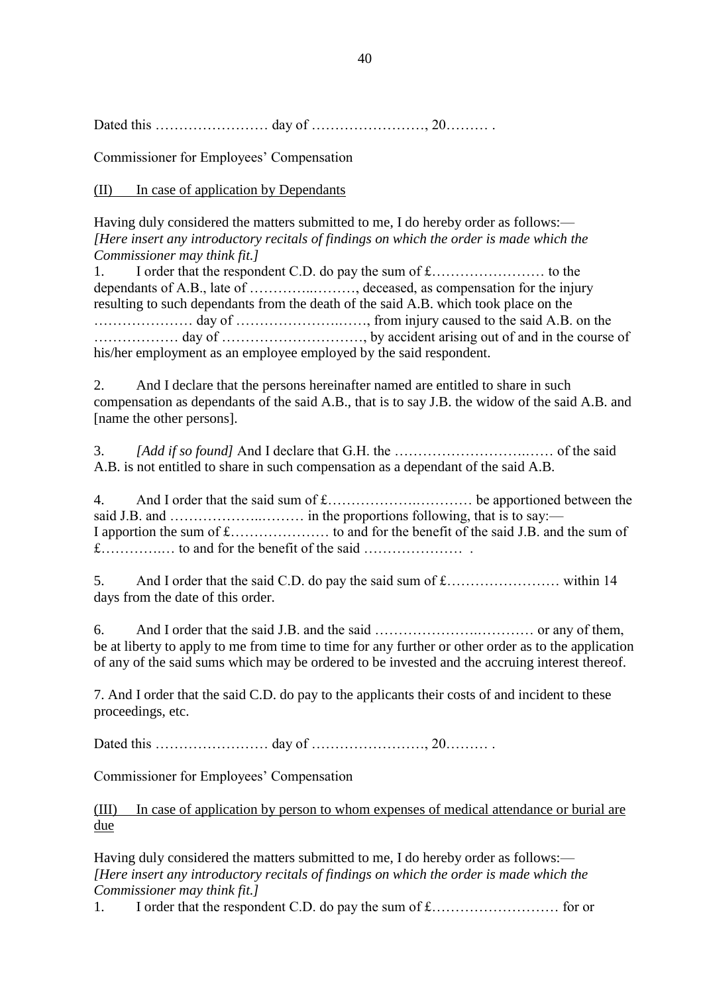Dated this …………………… day of ……………………, 20……… .

Commissioner for Employees' Compensation

(II) In case of application by Dependants

Having duly considered the matters submitted to me, I do hereby order as follows:— *[Here insert any introductory recitals of findings on which the order is made which the Commissioner may think fit.]*

1. I order that the respondent C.D. do pay the sum of £…………………… to the dependants of A.B., late of …………..………, deceased, as compensation for the injury resulting to such dependants from the death of the said A.B. which took place on the ………………… day of ………………….……, from injury caused to the said A.B. on the ……………… day of …………………………, by accident arising out of and in the course of his/her employment as an employee employed by the said respondent.

2. And I declare that the persons hereinafter named are entitled to share in such compensation as dependants of the said A.B., that is to say J.B. the widow of the said A.B. and [name the other persons].

3. *[Add if so found]* And I declare that G.H. the ……………………….…… of the said A.B. is not entitled to share in such compensation as a dependant of the said A.B.

4. And I order that the said sum of £……………….………… be apportioned between the said J.B. and ………………..……… in the proportions following, that is to say:— I apportion the sum of £………………… to and for the benefit of the said J.B. and the sum of £………….… to and for the benefit of the said ………………… .

5. And I order that the said C.D. do pay the said sum of £…………………… within 14 days from the date of this order.

6. And I order that the said J.B. and the said ………………….………… or any of them, be at liberty to apply to me from time to time for any further or other order as to the application of any of the said sums which may be ordered to be invested and the accruing interest thereof.

7. And I order that the said C.D. do pay to the applicants their costs of and incident to these proceedings, etc.

Dated this …………………… day of ……………………, 20……… .

Commissioner for Employees' Compensation

(III) In case of application by person to whom expenses of medical attendance or burial are due

Having duly considered the matters submitted to me, I do hereby order as follows:— *[Here insert any introductory recitals of findings on which the order is made which the Commissioner may think fit.]*

1. I order that the respondent C.D. do pay the sum of £……………………… for or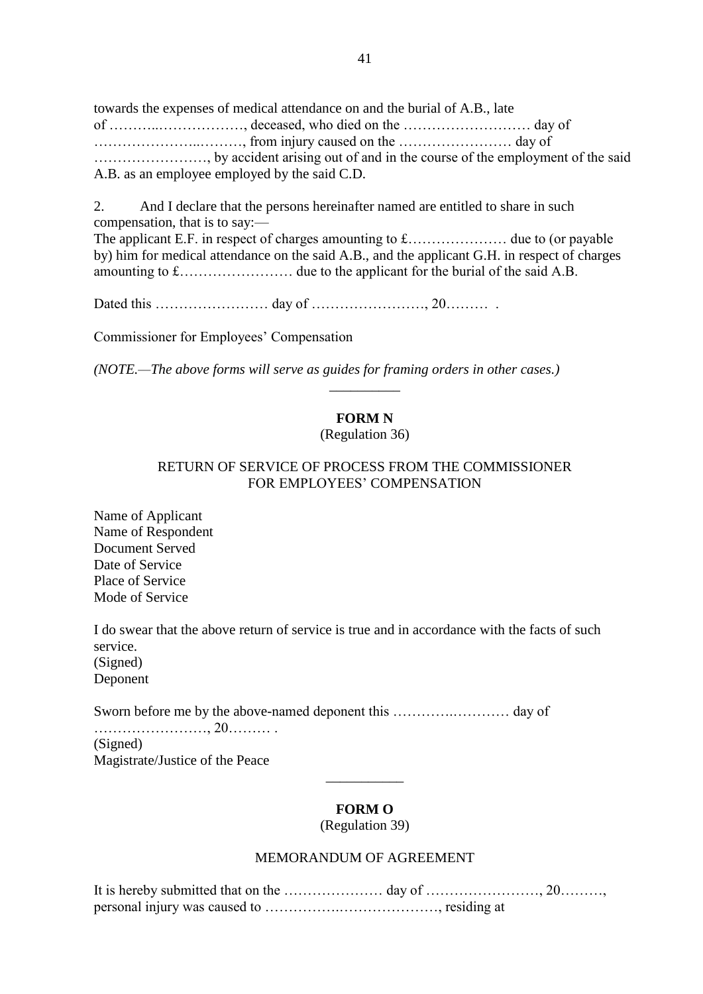towards the expenses of medical attendance on and the burial of A.B., late of ………..………………, deceased, who died on the ……………………… day of …………………..………, from injury caused on the …………………… day of ……………………, by accident arising out of and in the course of the employment of the said A.B. as an employee employed by the said C.D.

2. And I declare that the persons hereinafter named are entitled to share in such compensation, that is to say:— The applicant E.F. in respect of charges amounting to £………………… due to (or payable by) him for medical attendance on the said A.B., and the applicant G.H. in respect of charges amounting to £…………………… due to the applicant for the burial of the said A.B.

Dated this …………………… day of ……………………, 20……… .

Commissioner for Employees' Compensation

*(NOTE.—The above forms will serve as guides for framing orders in other cases.)*

# **FORM N**

\_\_\_\_\_\_\_\_\_\_

(Regulation 36)

### RETURN OF SERVICE OF PROCESS FROM THE COMMISSIONER FOR EMPLOYEES' COMPENSATION

Name of Applicant Name of Respondent Document Served Date of Service Place of Service Mode of Service

I do swear that the above return of service is true and in accordance with the facts of such service. (Signed) Deponent

Sworn before me by the above-named deponent this ………….………… day of

……………………, 20……… . (Signed) Magistrate/Justice of the Peace

# **FORM O**

\_\_\_\_\_\_\_\_\_\_\_

(Regulation 39)

# MEMORANDUM OF AGREEMENT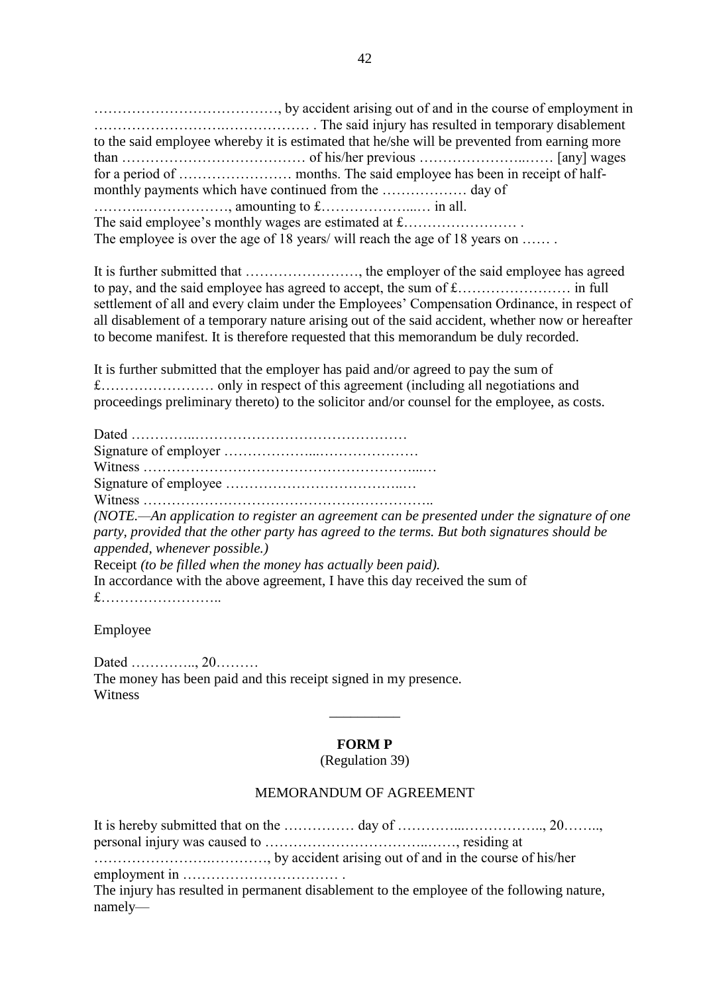…………………………………, by accident arising out of and in the course of employment in ……………………….……………… . The said injury has resulted in temporary disablement to the said employee whereby it is estimated that he/she will be prevented from earning more than ………………………………… of his/her previous …………………..…… [any] wages for a period of …………………… months. The said employee has been in receipt of halfmonthly payments which have continued from the ……………… day of ………..………………, amounting to £………………...… in all. The said employee's monthly wages are estimated at £…………………… . The employee is over the age of 18 years/ will reach the age of 18 years on ......

It is further submitted that ……………………, the employer of the said employee has agreed to pay, and the said employee has agreed to accept, the sum of £…………………… in full settlement of all and every claim under the Employees' Compensation Ordinance, in respect of all disablement of a temporary nature arising out of the said accident, whether now or hereafter to become manifest. It is therefore requested that this memorandum be duly recorded.

It is further submitted that the employer has paid and/or agreed to pay the sum of £…………………… only in respect of this agreement (including all negotiations and proceedings preliminary thereto) to the solicitor and/or counsel for the employee, as costs.

Dated …………..……………………………………… Signature of employer ………………...………………… Witness …………………………………………………...… Signature of employee ………………………………..… Witness …………………………………………………….. *(NOTE.—An application to register an agreement can be presented under the signature of one party, provided that the other party has agreed to the terms. But both signatures should be appended, whenever possible.)* Receipt *(to be filled when the money has actually been paid).* In accordance with the above agreement, I have this day received the sum of £……………………..

Employee

Dated ………….., 20……… The money has been paid and this receipt signed in my presence. Witness

# **FORM P**

\_\_\_\_\_\_\_\_\_\_

(Regulation 39)

#### MEMORANDUM OF AGREEMENT

It is hereby submitted that on the …………… day of …………...…………….., 20…….., personal injury was caused to ……………………………..……, residing at …………………….…………, by accident arising out of and in the course of his/her employment in …………………………… . The injury has resulted in permanent disablement to the employee of the following nature, namely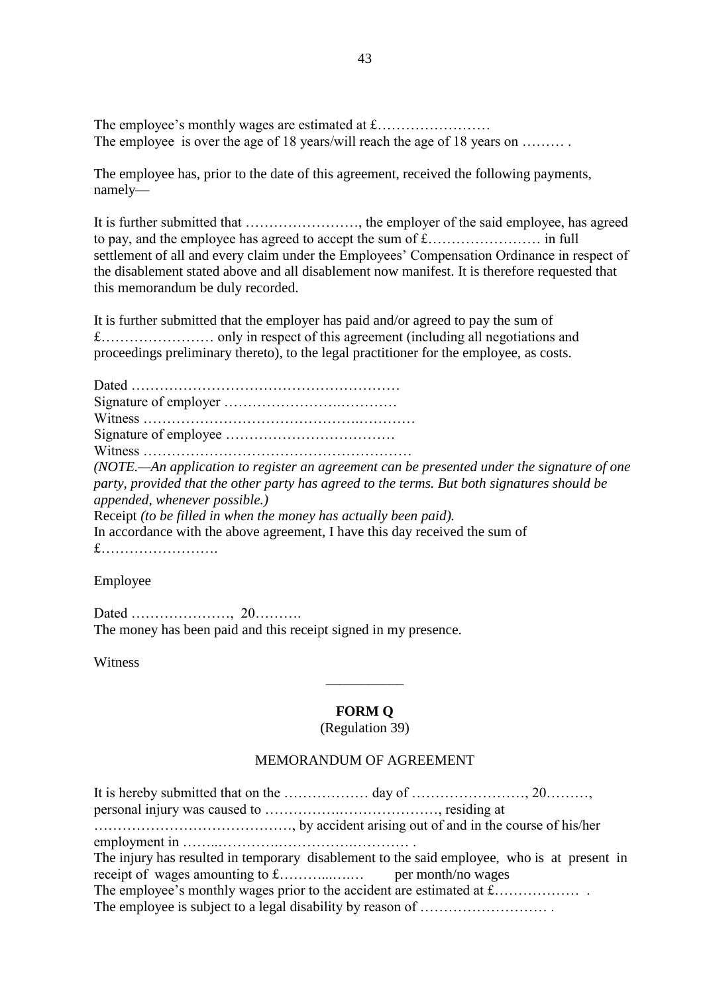The employee's monthly wages are estimated at  $f$ ................................ The employee is over the age of 18 years/will reach the age of 18 years on .........

The employee has, prior to the date of this agreement, received the following payments, namely—

It is further submitted that ……………………, the employer of the said employee, has agreed to pay, and the employee has agreed to accept the sum of £…………………… in full settlement of all and every claim under the Employees' Compensation Ordinance in respect of the disablement stated above and all disablement now manifest. It is therefore requested that this memorandum be duly recorded.

It is further submitted that the employer has paid and/or agreed to pay the sum of £…………………… only in respect of this agreement (including all negotiations and proceedings preliminary thereto), to the legal practitioner for the employee, as costs.

Dated ………………………………………………… Signature of employer …………………….………… Witness ……………………………………….………… Signature of employee ……………………………… Witness ………………………………………………… *(NOTE.—An application to register an agreement can be presented under the signature of one party, provided that the other party has agreed to the terms. But both signatures should be appended, whenever possible.)* Receipt *(to be filled in when the money has actually been paid).* In accordance with the above agreement, I have this day received the sum of £…………………….

Employee

Dated …………………, 20………. The money has been paid and this receipt signed in my presence.

Witness

#### **FORM Q**

\_\_\_\_\_\_\_\_\_\_\_

(Regulation 39)

### MEMORANDUM OF AGREEMENT

| The injury has resulted in temporary disablement to the said employee, who is at present in |  |
|---------------------------------------------------------------------------------------------|--|
|                                                                                             |  |
|                                                                                             |  |
|                                                                                             |  |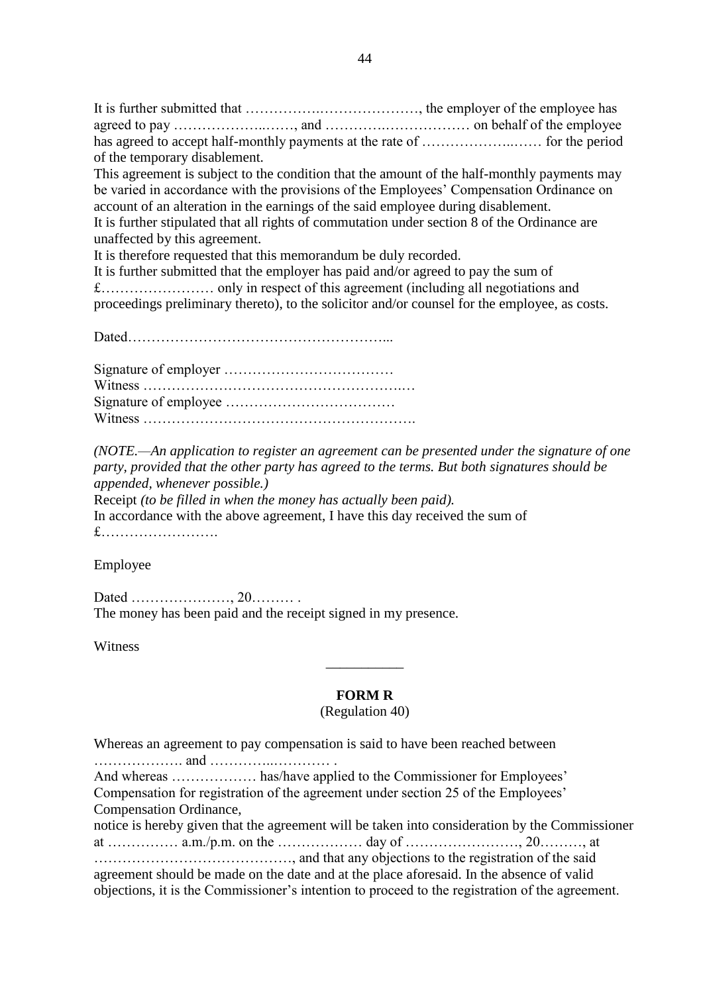It is further submitted that …………….…………………, the employer of the employee has agreed to pay ………………..……, and ………….……………… on behalf of the employee has agreed to accept half-monthly payments at the rate of ………………..…… for the period of the temporary disablement.

This agreement is subject to the condition that the amount of the half-monthly payments may be varied in accordance with the provisions of the Employees' Compensation Ordinance on account of an alteration in the earnings of the said employee during disablement. It is further stipulated that all rights of commutation under section 8 of the Ordinance are unaffected by this agreement.

It is therefore requested that this memorandum be duly recorded.

It is further submitted that the employer has paid and/or agreed to pay the sum of £…………………… only in respect of this agreement (including all negotiations and proceedings preliminary thereto), to the solicitor and/or counsel for the employee, as costs.

Dated………………………………………………...

Signature of employer ……………………………… Witness ……………………………………………….… Signature of employee ……………………………… Witness ………………………………………………….

*(NOTE.—An application to register an agreement can be presented under the signature of one party, provided that the other party has agreed to the terms. But both signatures should be appended, whenever possible.)* Receipt *(to be filled in when the money has actually been paid).*

In accordance with the above agreement, I have this day received the sum of £…………………….

#### Employee

Dated …………………, 20……… . The money has been paid and the receipt signed in my presence.

**Witness** 

#### **FORM R**

\_\_\_\_\_\_\_\_\_\_\_

#### (Regulation 40)

Whereas an agreement to pay compensation is said to have been reached between ………………. and …………..………… .

And whereas ……………… has/have applied to the Commissioner for Employees' Compensation for registration of the agreement under section 25 of the Employees' Compensation Ordinance,

notice is hereby given that the agreement will be taken into consideration by the Commissioner at …………… a.m./p.m. on the ……………… day of ……………………, 20………, at ……………………………………, and that any objections to the registration of the said agreement should be made on the date and at the place aforesaid. In the absence of valid

objections, it is the Commissioner's intention to proceed to the registration of the agreement.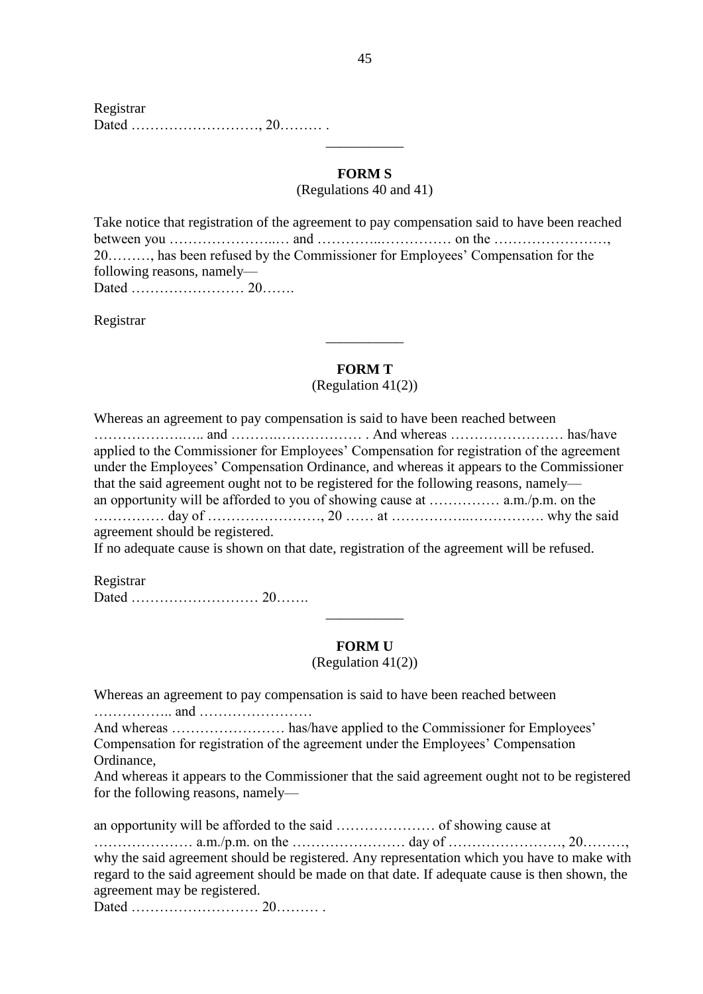# **FORM S**

\_\_\_\_\_\_\_\_\_\_\_

(Regulations 40 and 41)

|                            | Take notice that registration of the agreement to pay compensation said to have been reached                                                                  |  |
|----------------------------|---------------------------------------------------------------------------------------------------------------------------------------------------------------|--|
|                            | between you $\ldots$ $\ldots$ $\ldots$ $\ldots$ $\ldots$ and $\ldots$ $\ldots$ $\ldots$ $\ldots$ $\ldots$ on the $\ldots$ $\ldots$ $\ldots$ $\ldots$ $\ldots$ |  |
|                            | 20, has been refused by the Commissioner for Employees' Compensation for the                                                                                  |  |
| following reasons, namely— |                                                                                                                                                               |  |
|                            |                                                                                                                                                               |  |

Registrar

# **FORM T**

\_\_\_\_\_\_\_\_\_\_\_

(Regulation 41(2))

| Whereas an agreement to pay compensation is said to have been reached between                                                  |  |
|--------------------------------------------------------------------------------------------------------------------------------|--|
|                                                                                                                                |  |
| applied to the Commissioner for Employees' Compensation for registration of the agreement                                      |  |
| under the Employees' Compensation Ordinance, and whereas it appears to the Commissioner                                        |  |
| that the said agreement ought not to be registered for the following reasons, namely—                                          |  |
|                                                                                                                                |  |
|                                                                                                                                |  |
| agreement should be registered.                                                                                                |  |
| The continuous compact of the same continuation of the contribution of the continuous content of the confidential $\mathbf{f}$ |  |

If no adequate cause is shown on that date, registration of the agreement will be refused.

Registrar Dated ……………………… 20…….

#### **FORM U**

\_\_\_\_\_\_\_\_\_\_\_

(Regulation 41(2))

Whereas an agreement to pay compensation is said to have been reached between …………….. and …………………… And whereas …………………… has/have applied to the Commissioner for Employees' Compensation for registration of the agreement under the Employees' Compensation Ordinance, And whereas it appears to the Commissioner that the said agreement ought not to be registered for the following reasons, namely an opportunity will be afforded to the said ………………… of showing cause at ………………… a.m./p.m. on the …………………… day of ……………………, 20………, why the said agreement should be registered. Any representation which you have to make with regard to the said agreement should be made on that date. If adequate cause is then shown, the agreement may be registered. Dated ……………………… 20……… .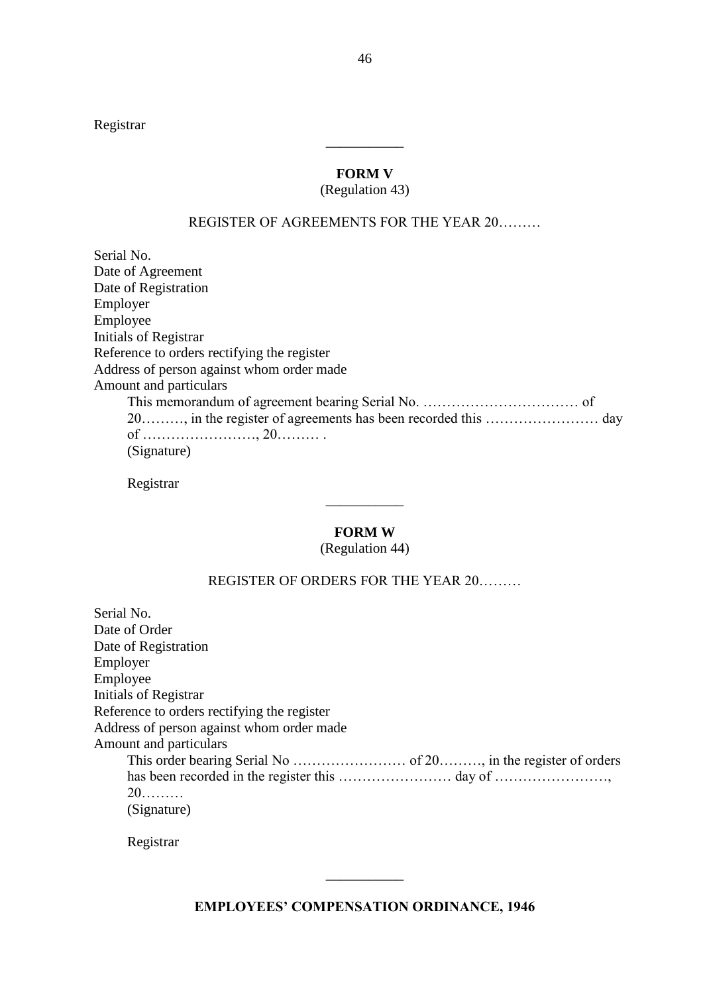Registrar

# **FORM V**

\_\_\_\_\_\_\_\_\_\_\_

### (Regulation 43)

#### REGISTER OF AGREEMENTS FOR THE YEAR 20………

Serial No. Date of Agreement Date of Registration Employer Employee Initials of Registrar Reference to orders rectifying the register Address of person against whom order made Amount and particulars This memorandum of agreement bearing Serial No. …………………………… of 20………, in the register of agreements has been recorded this …………………… day of ……………………, 20……… . (Signature)

Registrar

#### **FORM W**

\_\_\_\_\_\_\_\_\_\_\_

# (Regulation 44)

# REGISTER OF ORDERS FOR THE YEAR 20………

| Serial No.                                  |
|---------------------------------------------|
| Date of Order                               |
| Date of Registration                        |
| Employer                                    |
| Employee                                    |
| Initials of Registrar                       |
| Reference to orders rectifying the register |
| Address of person against whom order made   |
| Amount and particulars                      |
|                                             |
|                                             |
| $20$                                        |
| (Signature)                                 |

Registrar

\_\_\_\_\_\_\_\_\_\_\_